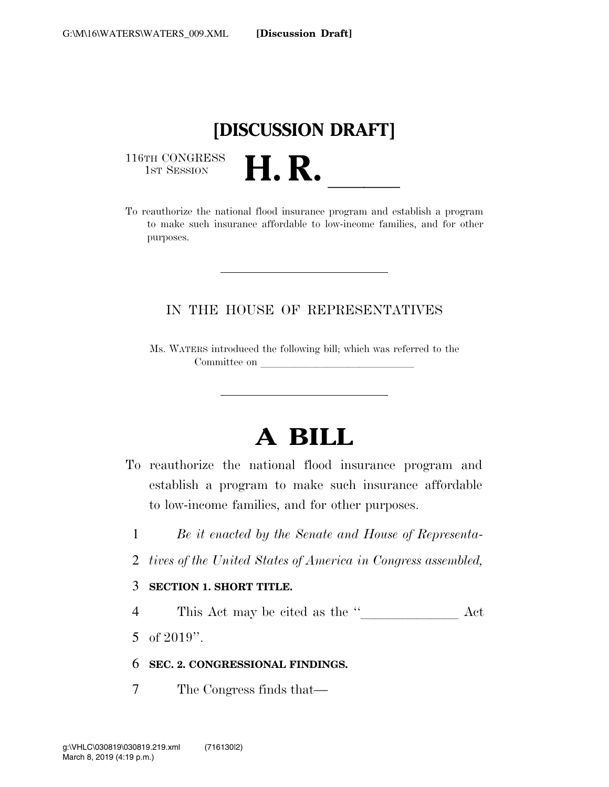# **[DISCUSSION DRAFT]**

116TH CONGRESS<br>1st Session

116TH CONGRESS<br>1st SESSION **H. R.** <u>Indicated the national flood insurance program</u> and establish a program to make such insurance affordable to low-income families, and for other purposes.

## IN THE HOUSE OF REPRESENTATIVES

Ms. WATERS introduced the following bill; which was referred to the Committee on

# **A BILL**

- To reauthorize the national flood insurance program and establish a program to make such insurance affordable to low-income families, and for other purposes.
	- 1 *Be it enacted by the Senate and House of Representa-*
	- 2 *tives of the United States of America in Congress assembled,*

#### 3 **SECTION 1. SHORT TITLE.**

- <sup>4</sup> This Act may be cited as the ''lllllll Act
- 5 of 2019''.

### 6 **SEC. 2. CONGRESSIONAL FINDINGS.**

7 The Congress finds that—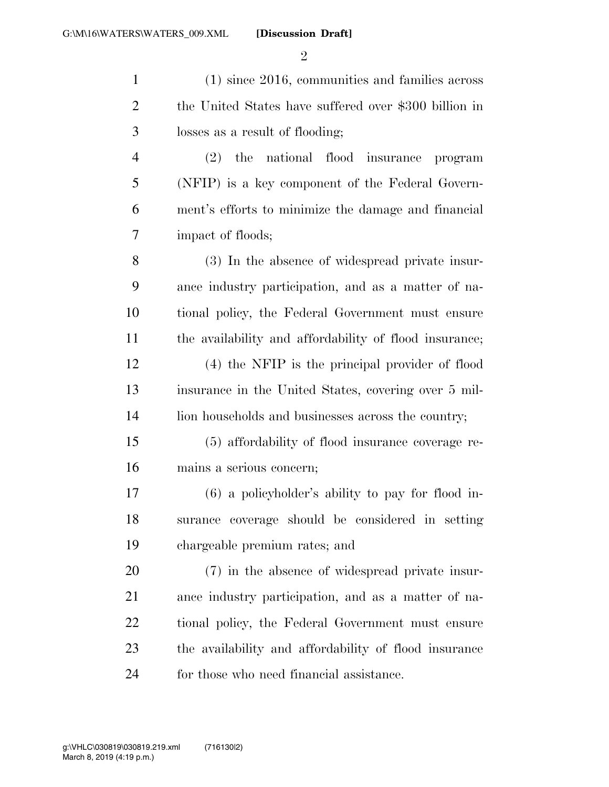$\mathfrak{D}$ 

 (1) since 2016, communities and families across the United States have suffered over \$300 billion in losses as a result of flooding; (2) the national flood insurance program (NFIP) is a key component of the Federal Govern- ment's efforts to minimize the damage and financial impact of floods; (3) In the absence of widespread private insur- ance industry participation, and as a matter of na- tional policy, the Federal Government must ensure the availability and affordability of flood insurance; (4) the NFIP is the principal provider of flood insurance in the United States, covering over 5 mil-14 lion households and businesses across the country; (5) affordability of flood insurance coverage re- mains a serious concern; (6) a policyholder's ability to pay for flood in- surance coverage should be considered in setting chargeable premium rates; and (7) in the absence of widespread private insur- ance industry participation, and as a matter of na- tional policy, the Federal Government must ensure the availability and affordability of flood insurance

for those who need financial assistance.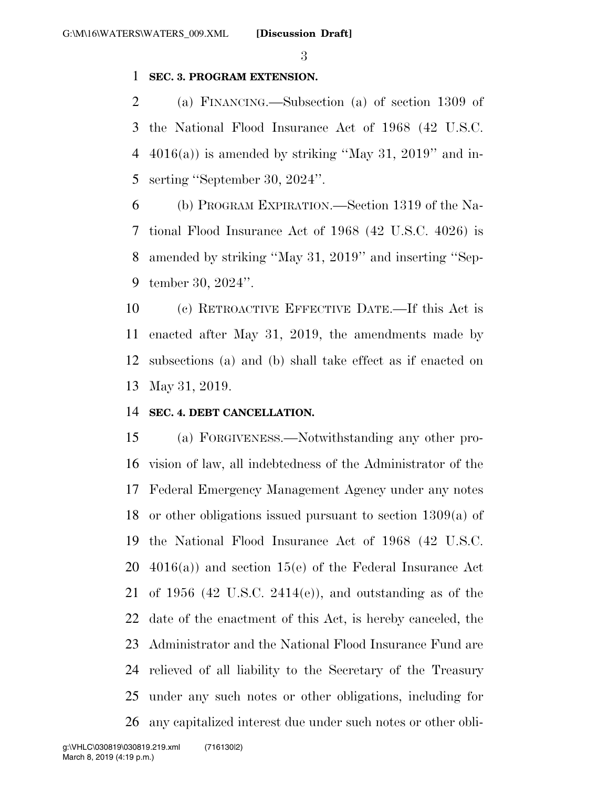#### **SEC. 3. PROGRAM EXTENSION.**

 (a) FINANCING.—Subsection (a) of section 1309 of the National Flood Insurance Act of 1968 (42 U.S.C. 4 4016(a)) is amended by striking "May 31, 2019" and in-serting ''September 30, 2024''.

 (b) PROGRAM EXPIRATION.—Section 1319 of the Na- tional Flood Insurance Act of 1968 (42 U.S.C. 4026) is amended by striking ''May 31, 2019'' and inserting ''Sep-tember 30, 2024''.

 (c) RETROACTIVE EFFECTIVE DATE.—If this Act is enacted after May 31, 2019, the amendments made by subsections (a) and (b) shall take effect as if enacted on May 31, 2019.

#### **SEC. 4. DEBT CANCELLATION.**

 (a) FORGIVENESS.—Notwithstanding any other pro- vision of law, all indebtedness of the Administrator of the Federal Emergency Management Agency under any notes or other obligations issued pursuant to section 1309(a) of the National Flood Insurance Act of 1968 (42 U.S.C. 4016(a)) and section 15(e) of the Federal Insurance Act of 1956 (42 U.S.C. 2414(e)), and outstanding as of the date of the enactment of this Act, is hereby canceled, the Administrator and the National Flood Insurance Fund are relieved of all liability to the Secretary of the Treasury under any such notes or other obligations, including for any capitalized interest due under such notes or other obli-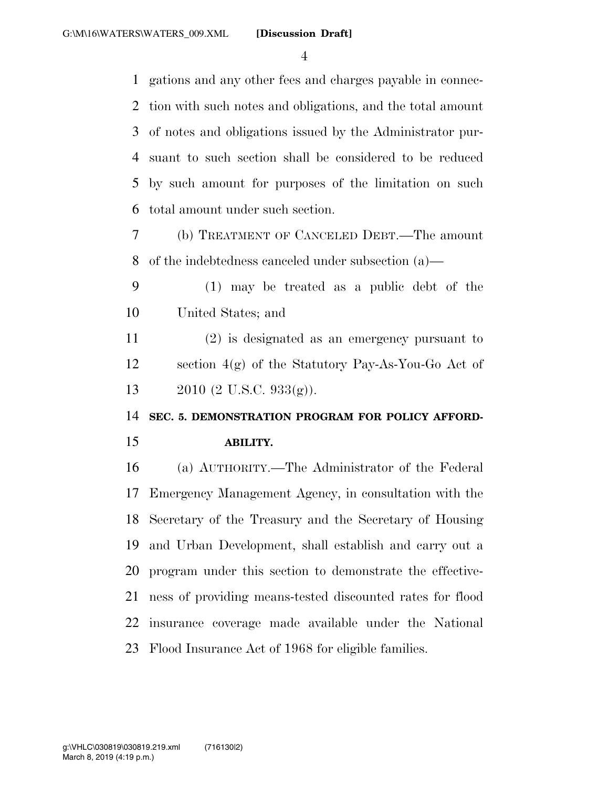gations and any other fees and charges payable in connec- tion with such notes and obligations, and the total amount of notes and obligations issued by the Administrator pur- suant to such section shall be considered to be reduced by such amount for purposes of the limitation on such total amount under such section.

- (b) TREATMENT OF CANCELED DEBT.—The amount of the indebtedness canceled under subsection (a)—
- (1) may be treated as a public debt of the United States; and

 (2) is designated as an emergency pursuant to section 4(g) of the Statutory Pay-As-You-Go Act of 2010 (2 U.S.C. 933(g)).

**SEC. 5. DEMONSTRATION PROGRAM FOR POLICY AFFORD-**

#### **ABILITY.**

 (a) AUTHORITY.—The Administrator of the Federal Emergency Management Agency, in consultation with the Secretary of the Treasury and the Secretary of Housing and Urban Development, shall establish and carry out a program under this section to demonstrate the effective- ness of providing means-tested discounted rates for flood insurance coverage made available under the National Flood Insurance Act of 1968 for eligible families.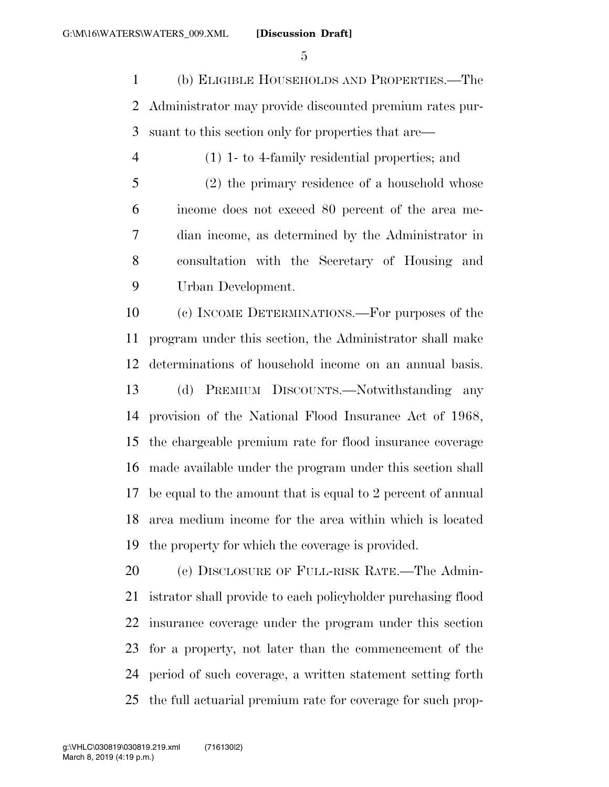(b) ELIGIBLE HOUSEHOLDS AND PROPERTIES.—The Administrator may provide discounted premium rates pur-suant to this section only for properties that are—

 (1) 1- to 4-family residential properties; and (2) the primary residence of a household whose income does not exceed 80 percent of the area me- dian income, as determined by the Administrator in consultation with the Secretary of Housing and Urban Development.

 (c) INCOME DETERMINATIONS.—For purposes of the program under this section, the Administrator shall make determinations of household income on an annual basis. (d) PREMIUM DISCOUNTS.—Notwithstanding any provision of the National Flood Insurance Act of 1968, the chargeable premium rate for flood insurance coverage made available under the program under this section shall be equal to the amount that is equal to 2 percent of annual area medium income for the area within which is located the property for which the coverage is provided.

 (e) DISCLOSURE OF FULL-RISK RATE.—The Admin- istrator shall provide to each policyholder purchasing flood insurance coverage under the program under this section for a property, not later than the commencement of the period of such coverage, a written statement setting forth the full actuarial premium rate for coverage for such prop-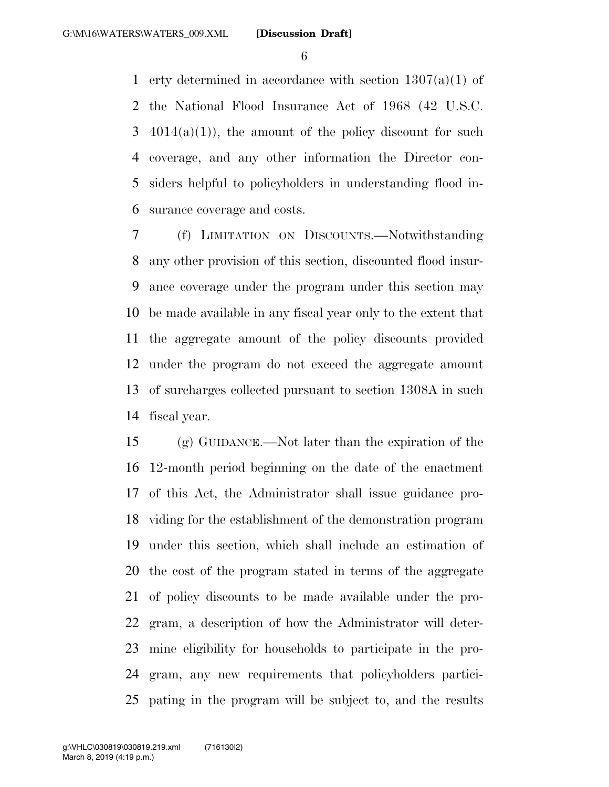erty determined in accordance with section 1307(a)(1) of the National Flood Insurance Act of 1968 (42 U.S.C.  $3\quad 4014(a)(1)$ , the amount of the policy discount for such coverage, and any other information the Director con- siders helpful to policyholders in understanding flood in-surance coverage and costs.

 (f) LIMITATION ON DISCOUNTS.—Notwithstanding any other provision of this section, discounted flood insur- ance coverage under the program under this section may be made available in any fiscal year only to the extent that the aggregate amount of the policy discounts provided under the program do not exceed the aggregate amount of surcharges collected pursuant to section 1308A in such fiscal year.

 (g) GUIDANCE.—Not later than the expiration of the 12-month period beginning on the date of the enactment of this Act, the Administrator shall issue guidance pro- viding for the establishment of the demonstration program under this section, which shall include an estimation of the cost of the program stated in terms of the aggregate of policy discounts to be made available under the pro- gram, a description of how the Administrator will deter- mine eligibility for households to participate in the pro- gram, any new requirements that policyholders partici-pating in the program will be subject to, and the results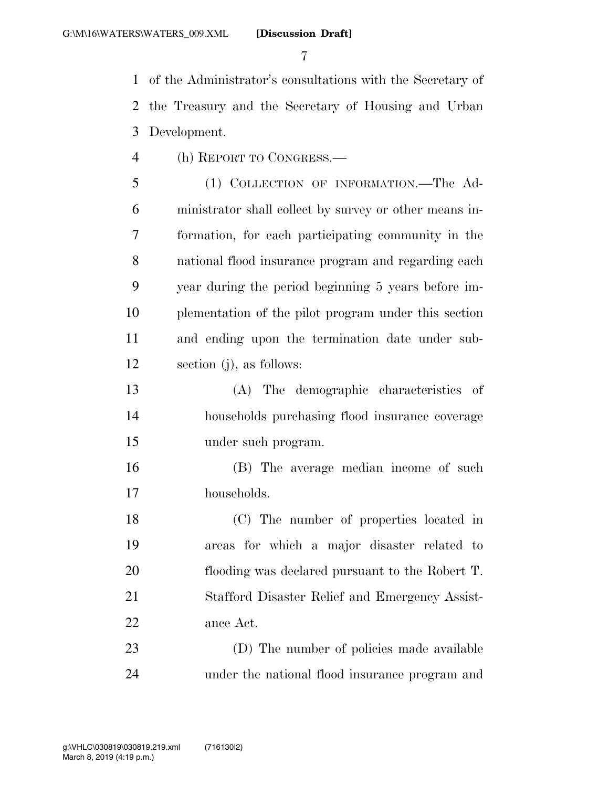of the Administrator's consultations with the Secretary of the Treasury and the Secretary of Housing and Urban Development.

(h) REPORT TO CONGRESS.—

 (1) COLLECTION OF INFORMATION.—The Ad- ministrator shall collect by survey or other means in- formation, for each participating community in the national flood insurance program and regarding each year during the period beginning 5 years before im- plementation of the pilot program under this section and ending upon the termination date under sub-section (j), as follows:

 (A) The demographic characteristics of households purchasing flood insurance coverage under such program.

 (B) The average median income of such households.

 (C) The number of properties located in areas for which a major disaster related to flooding was declared pursuant to the Robert T. Stafford Disaster Relief and Emergency Assist-ance Act.

 (D) The number of policies made available under the national flood insurance program and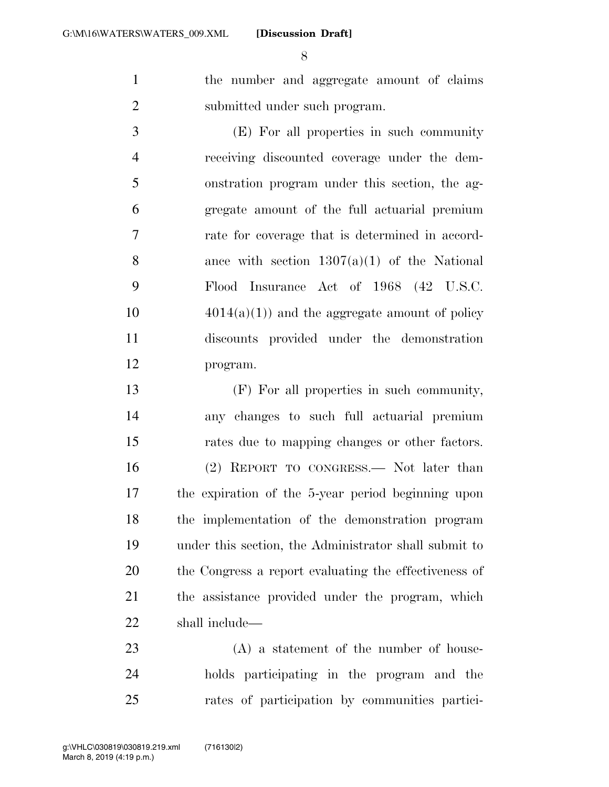the number and aggregate amount of claims submitted under such program.

 (E) For all properties in such community receiving discounted coverage under the dem- onstration program under this section, the ag- gregate amount of the full actuarial premium rate for coverage that is determined in accord-8 ance with section  $1307(a)(1)$  of the National Flood Insurance Act of 1968 (42 U.S.C.  $4014(a)(1)$  and the aggregate amount of policy discounts provided under the demonstration program.

 (F) For all properties in such community, any changes to such full actuarial premium rates due to mapping changes or other factors. (2) REPORT TO CONGRESS.— Not later than the expiration of the 5-year period beginning upon the implementation of the demonstration program under this section, the Administrator shall submit to the Congress a report evaluating the effectiveness of the assistance provided under the program, which shall include—

 (A) a statement of the number of house- holds participating in the program and the rates of participation by communities partici-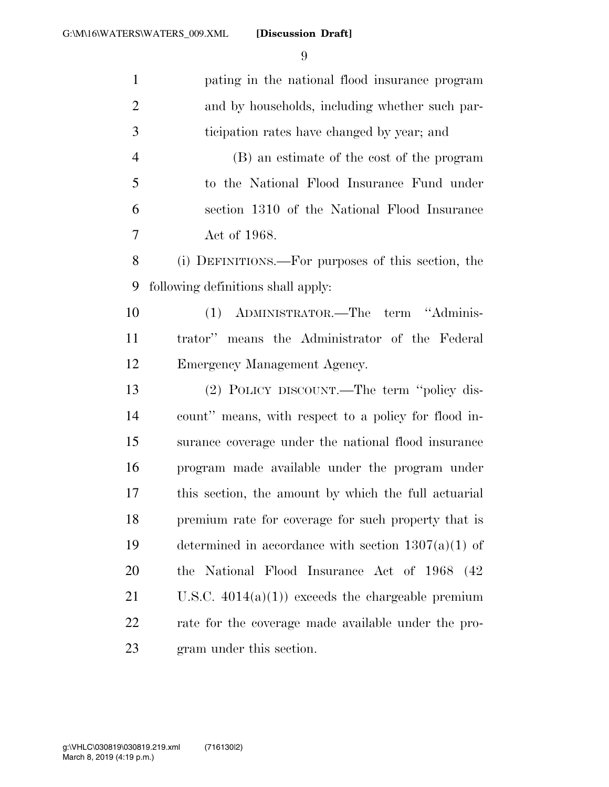| $\mathbf{1}$   | pating in the national flood insurance program        |
|----------------|-------------------------------------------------------|
| $\overline{2}$ | and by households, including whether such par-        |
| 3              | ticipation rates have changed by year; and            |
| $\overline{4}$ | (B) an estimate of the cost of the program            |
| 5              | to the National Flood Insurance Fund under            |
| 6              | section 1310 of the National Flood Insurance          |
| 7              | Act of 1968.                                          |
| $8\,$          | (i) DEFINITIONS.—For purposes of this section, the    |
| 9              | following definitions shall apply:                    |
| 10             | ADMINISTRATOR.—The term "Adminis-<br>(1)              |
| 11             | trator" means the Administrator of the Federal        |
| 12             | Emergency Management Agency.                          |
| 13             | (2) POLICY DISCOUNT.—The term "policy dis-            |
| 14             | count" means, with respect to a policy for flood in-  |
| 15             | surance coverage under the national flood insurance   |
| 16             | program made available under the program under        |
| 17             | this section, the amount by which the full actuarial  |
| 18             | premium rate for coverage for such property that is   |
| 19             | determined in accordance with section $1307(a)(1)$ of |
| 20             | the National Flood Insurance Act of 1968 (42)         |
| 21             | U.S.C. $4014(a)(1)$ exceeds the chargeable premium    |
| 22             | rate for the coverage made available under the pro-   |
| 23             | gram under this section.                              |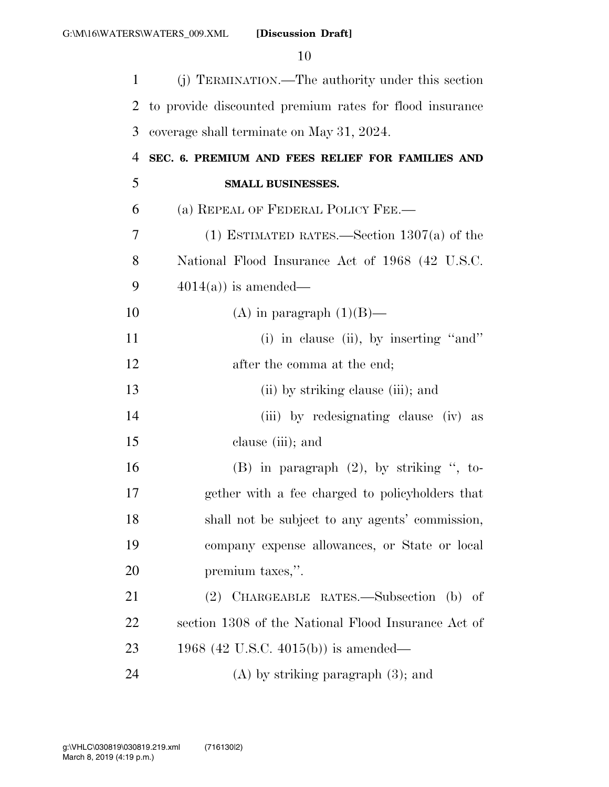| $\mathbf{1}$ | (j) TERMINATION.—The authority under this section       |
|--------------|---------------------------------------------------------|
| 2            | to provide discounted premium rates for flood insurance |
| 3            | coverage shall terminate on May 31, 2024.               |
| 4            | SEC. 6. PREMIUM AND FEES RELIEF FOR FAMILIES AND        |
| 5            | <b>SMALL BUSINESSES.</b>                                |
| 6            | (a) REPEAL OF FEDERAL POLICY FEE.—                      |
| 7            | (1) ESTIMATED RATES.—Section $1307(a)$ of the           |
| 8            | National Flood Insurance Act of 1968 (42 U.S.C.         |
| 9            | $4014(a)$ is amended—                                   |
| 10           | (A) in paragraph $(1)(B)$ —                             |
| 11           | (i) in clause (ii), by inserting "and"                  |
| 12           | after the comma at the end;                             |
| 13           | (ii) by striking clause (iii); and                      |
| 14           | (iii) by redesignating clause (iv) as                   |
| 15           | clause (iii); and                                       |
| 16           | $(B)$ in paragraph $(2)$ , by striking ", to-           |
| 17           | gether with a fee charged to policyholders that         |
| 18           | shall not be subject to any agents' commission,         |
| 19           | company expense allowances, or State or local           |
| 20           | premium taxes,".                                        |
| 21           | (2) CHARGEABLE RATES.—Subsection (b) of                 |
| 22           | section 1308 of the National Flood Insurance Act of     |
| 23           | 1968 (42 U.S.C. 4015(b)) is amended—                    |
| 24           | $(A)$ by striking paragraph $(3)$ ; and                 |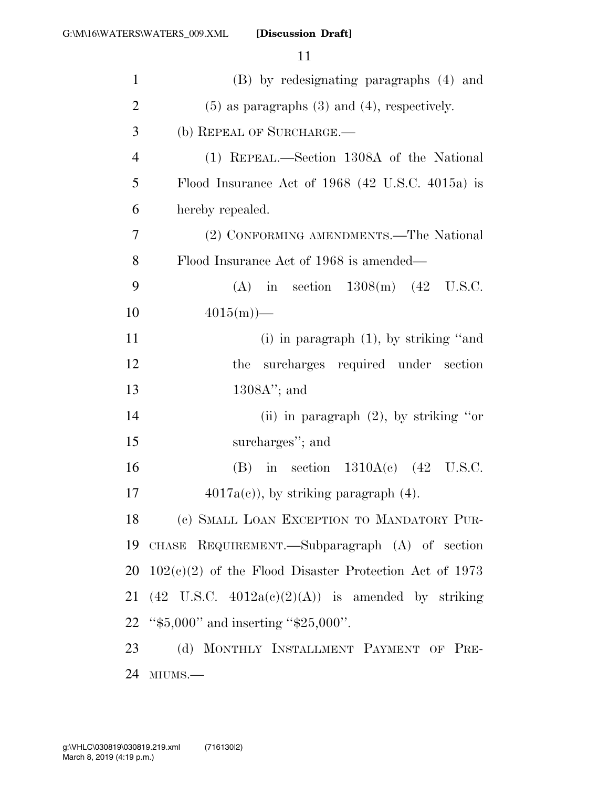| $\mathbf{1}$   | (B) by redesignating paragraphs (4) and                      |
|----------------|--------------------------------------------------------------|
| $\overline{2}$ | $(5)$ as paragraphs $(3)$ and $(4)$ , respectively.          |
| 3              | (b) REPEAL OF SURCHARGE.                                     |
| $\overline{4}$ | (1) REPEAL.—Section 1308A of the National                    |
| 5              | Flood Insurance Act of $1968$ (42 U.S.C. 4015a) is           |
| 6              | hereby repealed.                                             |
| 7              | (2) CONFORMING AMENDMENTS.—The National                      |
| 8              | Flood Insurance Act of 1968 is amended—                      |
| 9              | (A) in section $1308(m)$ (42 U.S.C.                          |
| 10             | $4015(m)$ —                                                  |
| 11             | (i) in paragraph $(1)$ , by striking "and                    |
| 12             | surcharges required under section<br>the                     |
| 13             | $1308A$ "; and                                               |
| 14             | (ii) in paragraph $(2)$ , by striking "or"                   |
| 15             | surcharges"; and                                             |
| 16             | (B) in section $1310A(c)$ (42 U.S.C.                         |
| 17             | $4017a(c)$ , by striking paragraph $(4)$ .                   |
| 18             | (c) SMALL LOAN EXCEPTION TO MANDATORY PUR-                   |
| 19             | CHASE REQUIREMENT.—Subparagraph (A) of section               |
| 20             | $102(c)(2)$ of the Flood Disaster Protection Act of 1973     |
| 21             | $(42 \text{ U.S.C. } 4012a(c)(2)(A))$ is amended by striking |
| 22             | " $\frac{45,000}{2}$ " and inserting "\$25,000".             |
| 23             | (d) MONTHLY INSTALLMENT PAYMENT OF PRE-                      |
| 24             | MIUMS.-                                                      |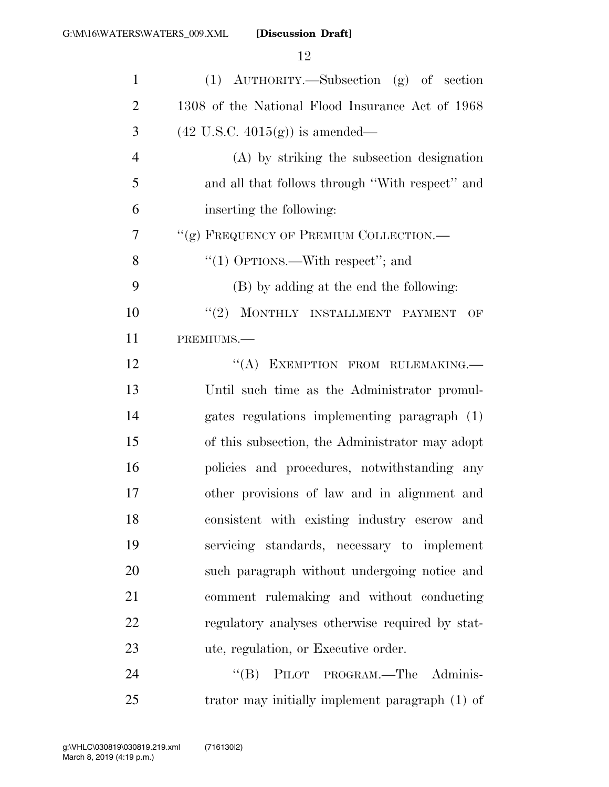| $\mathbf{1}$   | (1) AUTHORITY.—Subsection (g) of section         |
|----------------|--------------------------------------------------|
| $\overline{2}$ | 1308 of the National Flood Insurance Act of 1968 |
| 3              | $(42 \text{ U.S.C. } 4015(g))$ is amended—       |
| $\overline{4}$ | (A) by striking the subsection designation       |
| 5              | and all that follows through "With respect" and  |
| 6              | inserting the following:                         |
| 7              | "(g) FREQUENCY OF PREMIUM COLLECTION.-           |
| 8              | "(1) OPTIONS.—With respect"; and                 |
| 9              | (B) by adding at the end the following:          |
| 10             | "(2) MONTHLY INSTALLMENT PAYMENT<br>OF           |
| 11             | PREMIUMS.-                                       |
| 12             | "(A) EXEMPTION FROM RULEMAKING.                  |
| 13             | Until such time as the Administrator promul-     |
| 14             | gates regulations implementing paragraph (1)     |
| 15             | of this subsection, the Administrator may adopt  |
| 16             | policies and procedures, notwithstanding any     |
| 17             | other provisions of law and in alignment and     |
| 18             | consistent with existing industry escrow and     |
| 19             | servicing standards, necessary to implement      |
| 20             | such paragraph without undergoing notice and     |
| 21             | comment rulemaking and without conducting        |
| 22             | regulatory analyses otherwise required by stat-  |
| 23             | ute, regulation, or Executive order.             |
| 24             | PILOT PROGRAM.—The Adminis-<br>$\lq\lq (B)$      |

trator may initially implement paragraph (1) of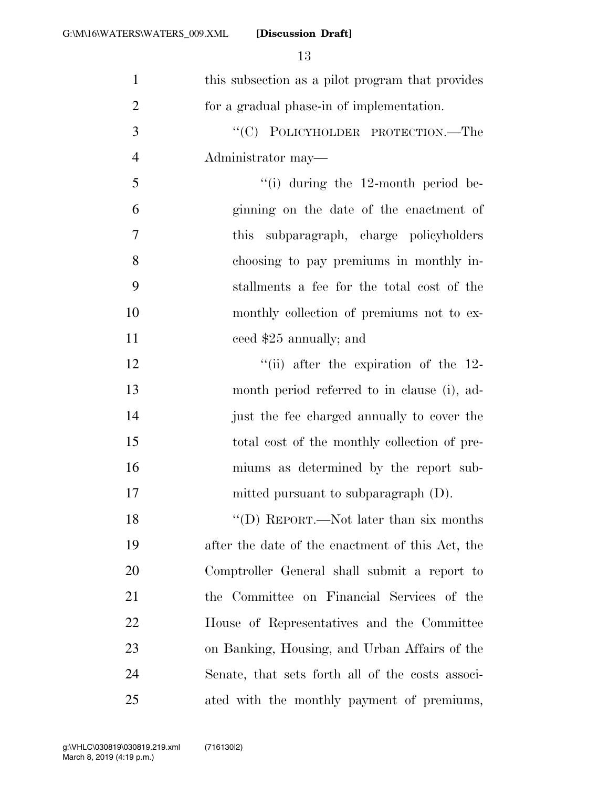| $\mathbf{1}$   | this subsection as a pilot program that provides  |
|----------------|---------------------------------------------------|
| $\overline{2}$ | for a gradual phase-in of implementation.         |
| 3              | "(C) POLICYHOLDER PROTECTION.—The                 |
| $\overline{4}$ | Administrator may—                                |
| 5              | $\lq\lq$ during the 12-month period be-           |
| 6              | ginning on the date of the enactment of           |
| 7              | subparagraph, charge policyholders<br><i>this</i> |
| 8              | choosing to pay premiums in monthly in-           |
| 9              | stallments a fee for the total cost of the        |
| 10             | monthly collection of premiums not to ex-         |
| 11             | ceed \$25 annually; and                           |
| 12             | "(ii) after the expiration of the $12$ -          |
| 13             | month period referred to in clause (i), ad-       |
| 14             | just the fee charged annually to cover the        |
| 15             | total cost of the monthly collection of pre-      |
| 16             | miums as determined by the report sub-            |
| 17             | mitted pursuant to subparagraph $(D)$ .           |
| 18             | "(D) REPORT.—Not later than six months            |
| 19             | after the date of the enactment of this Act, the  |
| 20             | Comptroller General shall submit a report to      |
| 21             | the Committee on Financial Services of the        |
| 22             | House of Representatives and the Committee        |
| 23             | on Banking, Housing, and Urban Affairs of the     |
| 24             | Senate, that sets forth all of the costs associ-  |
| 25             | ated with the monthly payment of premiums,        |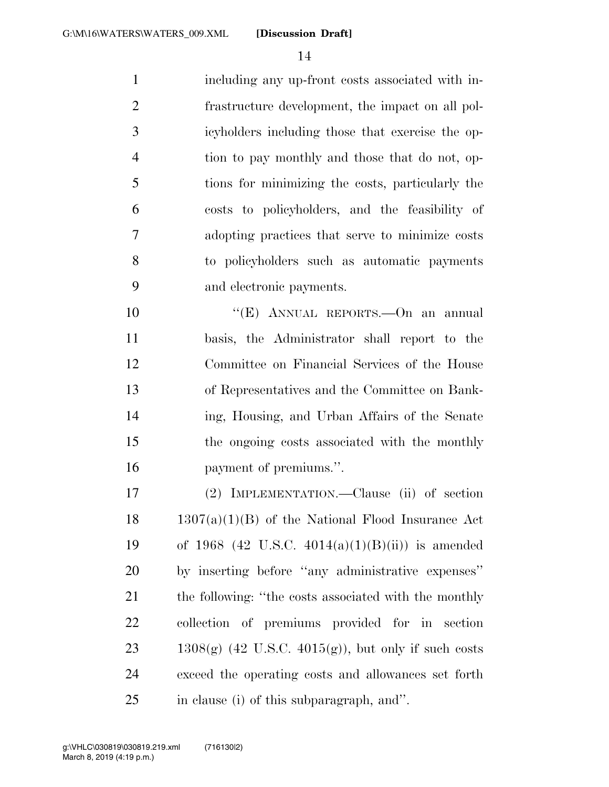including any up-front costs associated with in- frastructure development, the impact on all pol- icyholders including those that exercise the op- tion to pay monthly and those that do not, op- tions for minimizing the costs, particularly the costs to policyholders, and the feasibility of adopting practices that serve to minimize costs to policyholders such as automatic payments and electronic payments.

 ''(E) ANNUAL REPORTS.—On an annual basis, the Administrator shall report to the Committee on Financial Services of the House of Representatives and the Committee on Bank- ing, Housing, and Urban Affairs of the Senate the ongoing costs associated with the monthly payment of premiums.''.

 (2) IMPLEMENTATION.—Clause (ii) of section  $18 \text{ } 1307(a)(1)(B)$  of the National Flood Insurance Act of 1968 (42 U.S.C. 4014(a)(1)(B)(ii)) is amended by inserting before ''any administrative expenses'' 21 the following: "the costs associated with the monthly collection of premiums provided for in section 23 1308(g) (42 U.S.C. 4015(g)), but only if such costs exceed the operating costs and allowances set forth in clause (i) of this subparagraph, and''.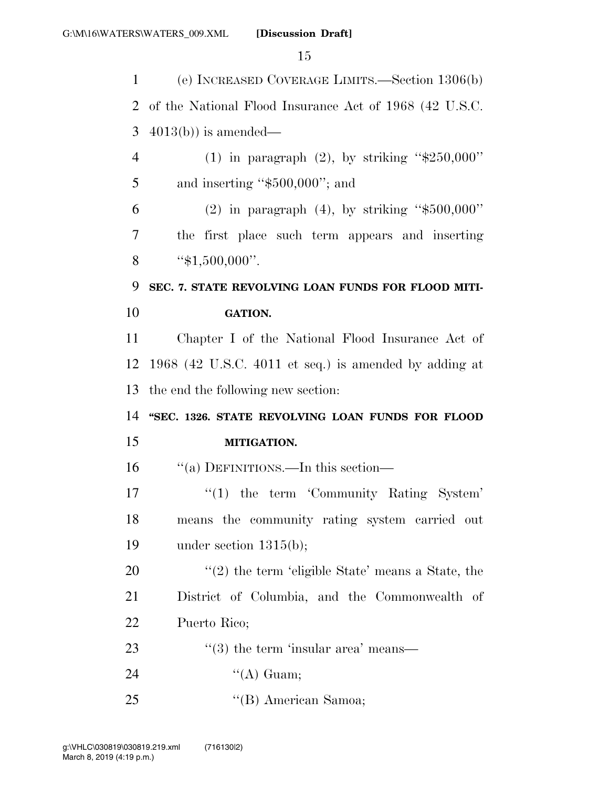| $\mathbf{1}$ | (e) INCREASED COVERAGE LIMITS.—Section 1306(b)         |
|--------------|--------------------------------------------------------|
| 2            | of the National Flood Insurance Act of 1968 (42 U.S.C. |
| 3            | $4013(b)$ is amended—                                  |
| 4            | (1) in paragraph (2), by striking " $$250,000"$        |
| 5            | and inserting " $$500,000$ "; and                      |
| 6            | (2) in paragraph (4), by striking " $$500,000"$        |
| 7            | the first place such term appears and inserting        |
| 8            | " $$1,500,000$ ".                                      |
| 9            | SEC. 7. STATE REVOLVING LOAN FUNDS FOR FLOOD MITI-     |
| 10           | <b>GATION.</b>                                         |
| 11           | Chapter I of the National Flood Insurance Act of       |
| 12           | 1968 (42 U.S.C. 4011 et seq.) is amended by adding at  |
| 13           | the end the following new section:                     |
| 14           | "SEC. 1326. STATE REVOLVING LOAN FUNDS FOR FLOOD       |
| 15           | MITIGATION.                                            |
| 16           | "(a) DEFINITIONS.—In this section—                     |
| 17           | $"(1)$ the term 'Community Rating System'              |
| 18           | means the community rating system carried out          |
| 19           | under section $1315(b)$ ;                              |
| 20           | $\lq(2)$ the term 'eligible State' means a State, the  |
| 21           | District of Columbia, and the Commonwealth of          |
| 22           | Puerto Rico;                                           |
| 23           | $\cdot\cdot$ (3) the term 'insular area' means—        |
| 24           | "(A) Guam;                                             |
| 25           | "(B) American Samoa;                                   |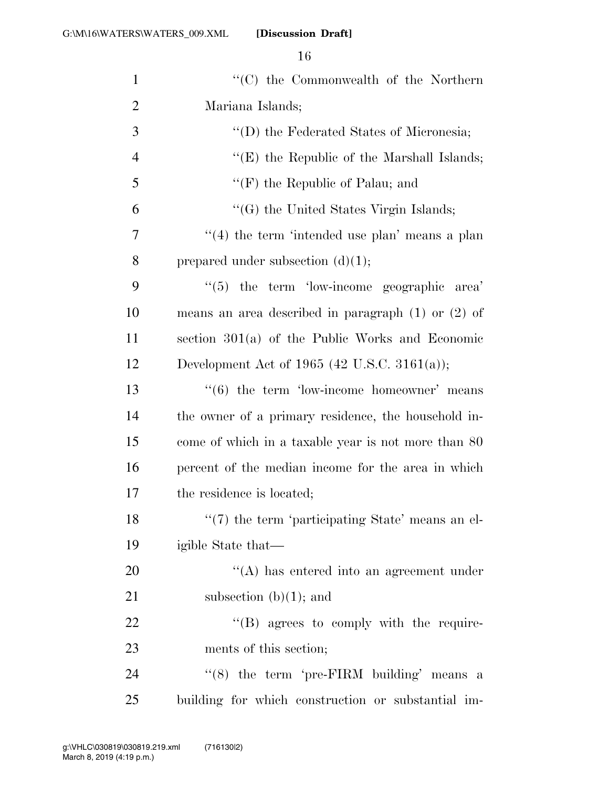| $\mathbf{1}$   | $\cdot$ (C) the Commonwealth of the Northern               |
|----------------|------------------------------------------------------------|
| $\overline{2}$ | Mariana Islands;                                           |
| 3              | "(D) the Federated States of Micronesia;                   |
| $\overline{4}$ | "(E) the Republic of the Marshall Islands;                 |
| 5              | " $(F)$ the Republic of Palau; and                         |
| 6              | "(G) the United States Virgin Islands;                     |
| 7              | $(4)$ the term 'intended use plan' means a plan            |
| 8              | prepared under subsection $(d)(1);$                        |
| 9              | $\cdot\cdot$ (5) the term 'low-income geographic area'     |
| 10             | means an area described in paragraph $(1)$ or $(2)$ of     |
| 11             | section $301(a)$ of the Public Works and Economic          |
| 12             | Development Act of 1965 (42 U.S.C. 3161(a));               |
| 13             | $\cdot\cdot\cdot(6)$ the term 'low-income homeowner' means |
| 14             | the owner of a primary residence, the household in-        |
| 15             | come of which in a taxable year is not more than 80        |
| 16             | percent of the median income for the area in which         |
| 17             | the residence is located;                                  |
| 18             | $\lq(7)$ the term 'participating State' means an el-       |
| 19             | igible State that—                                         |
| 20             | $\lq\lq$ has entered into an agreement under               |
| 21             | subsection $(b)(1)$ ; and                                  |
| 22             | $\lq\lq (B)$ agrees to comply with the require-            |
| 23             | ments of this section;                                     |
| 24             | " $(8)$ the term 'pre-FIRM building' means a               |
| 25             | building for which construction or substantial im-         |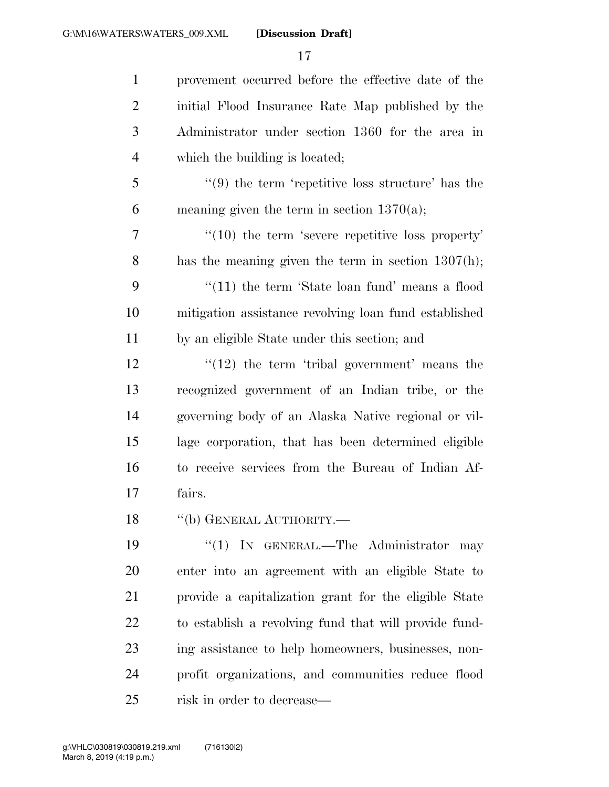| $\mathbf{1}$   | provement occurred before the effective date of the               |
|----------------|-------------------------------------------------------------------|
| $\overline{2}$ | initial Flood Insurance Rate Map published by the                 |
| 3              | Administrator under section 1360 for the area in                  |
| $\overline{4}$ | which the building is located;                                    |
| 5              | $\cdot\cdot\cdot(9)$ the term 'repetitive loss structure' has the |
| 6              | meaning given the term in section $1370(a)$ ;                     |
| 7              | $\cdot$ (10) the term 'severe repetitive loss property'           |
| 8              | has the meaning given the term in section $1307(h)$ ;             |
| 9              | $\cdot\cdot(11)$ the term 'State loan fund' means a flood         |
| 10             | mitigation assistance revolving loan fund established             |
| 11             | by an eligible State under this section; and                      |
| 12             | $\lq(12)$ the term 'tribal government' means the                  |
| 13             | recognized government of an Indian tribe, or the                  |
| 14             | governing body of an Alaska Native regional or vil-               |
| 15             | lage corporation, that has been determined eligible               |
| 16             | to receive services from the Bureau of Indian Af-                 |
| 17             | fairs.                                                            |
| 18             | "(b) GENERAL AUTHORITY.-                                          |
| 19             | "(1) IN GENERAL.—The Administrator may                            |
| 20             | enter into an agreement with an eligible State to                 |
| 21             | provide a capitalization grant for the eligible State             |
| 22             | to establish a revolving fund that will provide fund-             |
| 23             | ing assistance to help homeowners, businesses, non-               |
| 24             | profit organizations, and communities reduce flood                |
| 25             | risk in order to decrease—                                        |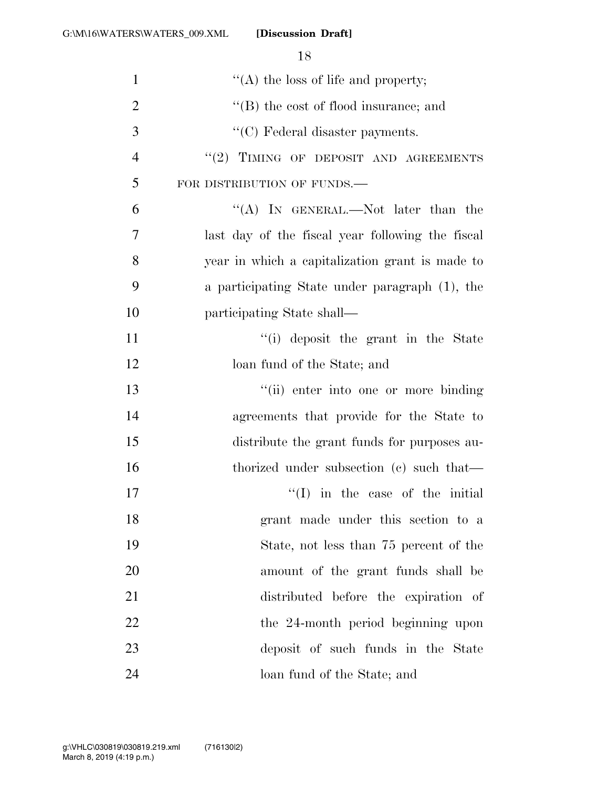| $\mathbf{1}$   | "(A) the loss of life and property;                  |
|----------------|------------------------------------------------------|
| $\overline{2}$ | $\lq\lq$ the cost of flood insurance; and            |
| 3              | $\lq\lq$ <sup>c</sup> (C) Federal disaster payments. |
| $\overline{4}$ | "(2) TIMING OF DEPOSIT AND AGREEMENTS                |
| 5              | FOR DISTRIBUTION OF FUNDS.                           |
| 6              | "(A) IN GENERAL.—Not later than the                  |
| 7              | last day of the fiscal year following the fiscal     |
| 8              | year in which a capitalization grant is made to      |
| 9              | a participating State under paragraph (1), the       |
| 10             | participating State shall—                           |
| 11             | "(i) deposit the grant in the State                  |
| 12             | loan fund of the State; and                          |
| 13             | "(ii) enter into one or more binding                 |
| 14             | agreements that provide for the State to             |
| 15             | distribute the grant funds for purposes au-          |
| 16             | thorized under subsection (c) such that—             |
| 17             | $\lq(1)$ in the case of the initial                  |
| 18             | grant made under this section to a                   |
| 19             | State, not less than 75 percent of the               |
| 20             | amount of the grant funds shall be                   |
| 21             | distributed before the expiration of                 |
| 22             | the 24-month period beginning upon                   |
| 23             | deposit of such funds in the State                   |
| 24             | loan fund of the State; and                          |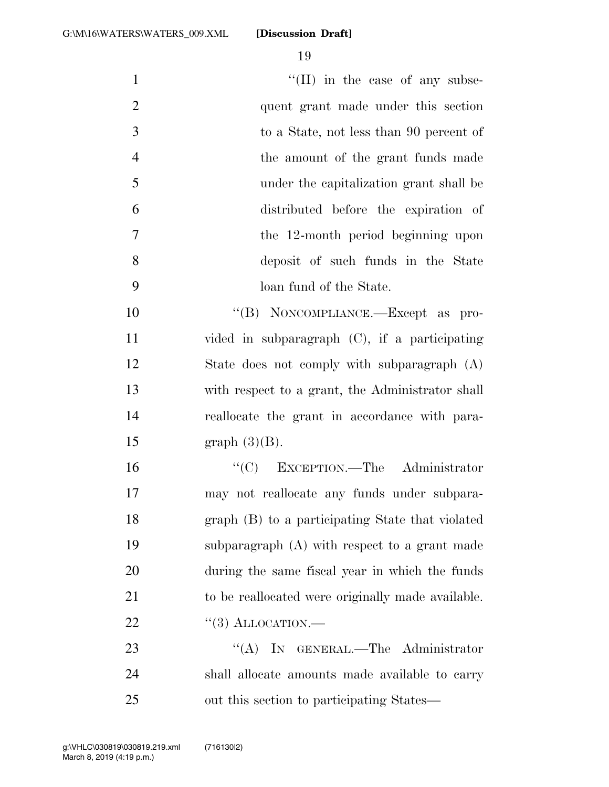| $\mathbf{1}$   | $\lq\lq$ (II) in the case of any subse-           |
|----------------|---------------------------------------------------|
| $\overline{2}$ | quent grant made under this section               |
| 3              | to a State, not less than 90 percent of           |
| $\overline{4}$ | the amount of the grant funds made                |
| 5              | under the capitalization grant shall be           |
| 6              | distributed before the expiration of              |
| $\overline{7}$ | the 12-month period beginning upon                |
| 8              | deposit of such funds in the State                |
| 9              | loan fund of the State.                           |
| 10             | "(B) NONCOMPLIANCE.—Except as pro-                |
| 11             | vided in subparagraph $(C)$ , if a participating  |
| 12             | State does not comply with subparagraph $(A)$     |
| 13             | with respect to a grant, the Administrator shall  |
| 14             | reallocate the grant in accordance with para-     |
| 15             | graph $(3)(B)$ .                                  |
| 16             | "(C) EXCEPTION.—The Administrator                 |
| 17             | may not reallocate any funds under subpara-       |
| 18             | graph (B) to a participating State that violated  |
| 19             | subparagraph (A) with respect to a grant made     |
| 20             | during the same fiscal year in which the funds    |
| 21             | to be reallocated were originally made available. |
| <u>22</u>      | $\lq(3)$ ALLOCATION.—                             |
| 23             | "(A) IN GENERAL.—The Administrator                |
| 24             | shall allocate amounts made available to carry    |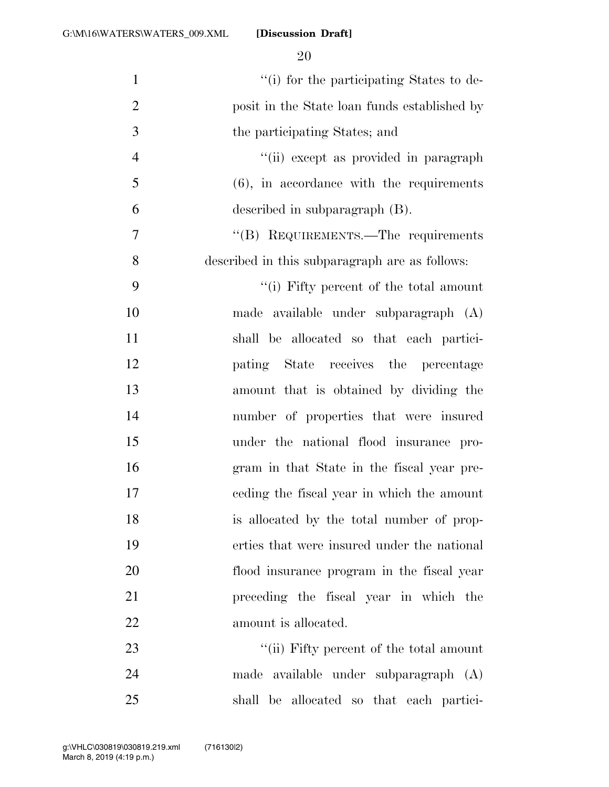| $\mathbf{1}$   | "(i) for the participating States to de-       |
|----------------|------------------------------------------------|
| $\overline{2}$ | posit in the State loan funds established by   |
| 3              | the participating States; and                  |
| $\overline{4}$ | "(ii) except as provided in paragraph          |
| 5              | $(6)$ , in accordance with the requirements    |
| 6              | described in subparagraph (B).                 |
| 7              | "(B) REQUIREMENTS.—The requirements            |
| 8              | described in this subparagraph are as follows: |
| 9              | "(i) Fifty percent of the total amount         |
| 10             | made available under subparagraph (A)          |
| 11             | shall be allocated so that each partici-       |
| 12             | pating State receives the percentage           |
| 13             | amount that is obtained by dividing the        |
| 14             | number of properties that were insured         |
| 15             | under the national flood insurance pro-        |
| 16             | gram in that State in the fiscal year pre-     |
| 17             | eeding the fiscal year in which the amount     |
| 18             | is allocated by the total number of prop-      |
| 19             | erties that were insured under the national    |
| 20             | flood insurance program in the fiscal year     |
| 21             | preceding the fiscal year in which the         |
| 22             | amount is allocated.                           |
| 23             | "(ii) Fifty percent of the total amount        |
| 24             | made available under subparagraph (A)          |
| 25             | shall be allocated so that each partici-       |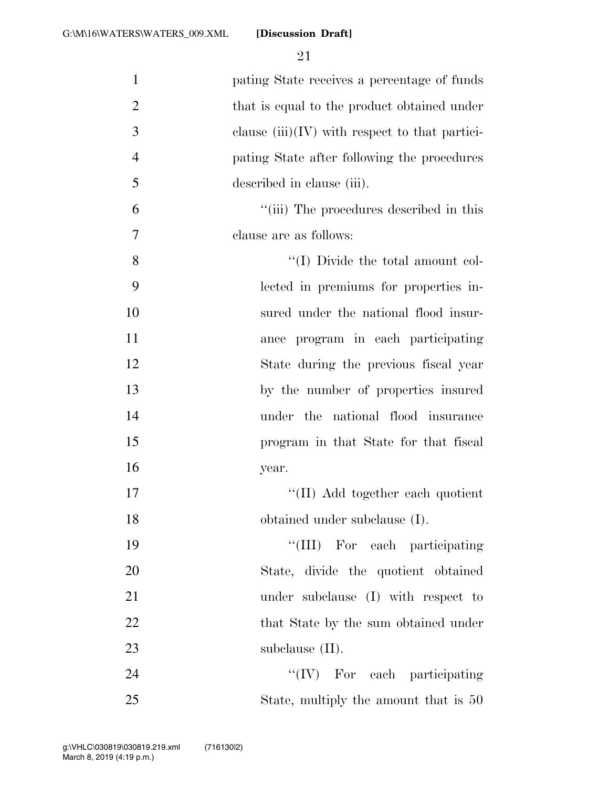| $\mathbf{1}$   | pating State receives a percentage of funds      |
|----------------|--------------------------------------------------|
| $\overline{2}$ | that is equal to the product obtained under      |
| 3              | clause $(iii)(IV)$ with respect to that partici- |
| $\overline{4}$ | pating State after following the procedures      |
| 5              | described in clause (iii).                       |
| 6              | "(iii) The procedures described in this          |
| 7              | clause are as follows:                           |
| 8              | "(I) Divide the total amount col-                |
| 9              | lected in premiums for properties in-            |
| 10             | sured under the national flood insur-            |
| 11             | ance program in each participating               |
| 12             | State during the previous fiscal year            |
| 13             | by the number of properties insured              |
| 14             | under the national flood insurance               |
| 15             | program in that State for that fiscal            |
| 16             | year.                                            |
| 17             | "(II) Add together each quotient                 |
| 18             | obtained under subclause (I).                    |
| 19             | "(III) For each participating                    |
| 20             | State, divide the quotient obtained              |
| 21             | under subclause (I) with respect to              |
| 22             | that State by the sum obtained under             |
| 23             | subclause $(II)$ .                               |
| 24             | $``(IV)$ For each participating                  |
| 25             | State, multiply the amount that is 50            |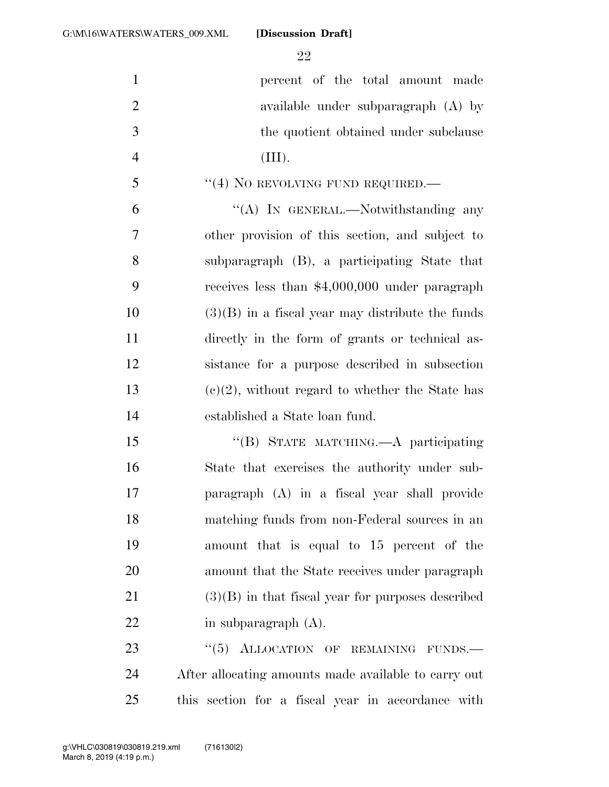**percent** of the total amount made available under subparagraph (A) by 3 the quotient obtained under subclause (III). 5 "(4) NO REVOLVING FUND REQUIRED.— 6 "(A) IN GENERAL.—Notwithstanding any other provision of this section, and subject to subparagraph (B), a participating State that receives less than \$4,000,000 under paragraph (3)(B) in a fiscal year may distribute the funds directly in the form of grants or technical as- sistance for a purpose described in subsection 13 (c)(2), without regard to whether the State has established a State loan fund. 15 "(B) STATE MATCHING.—A participating State that exercises the authority under sub- paragraph (A) in a fiscal year shall provide matching funds from non-Federal sources in an amount that is equal to 15 percent of the amount that the State receives under paragraph (3)(B) in that fiscal year for purposes described 22 in subparagraph (A). 23 "(5) ALLOCATION OF REMAINING FUNDS.

 After allocating amounts made available to carry out this section for a fiscal year in accordance with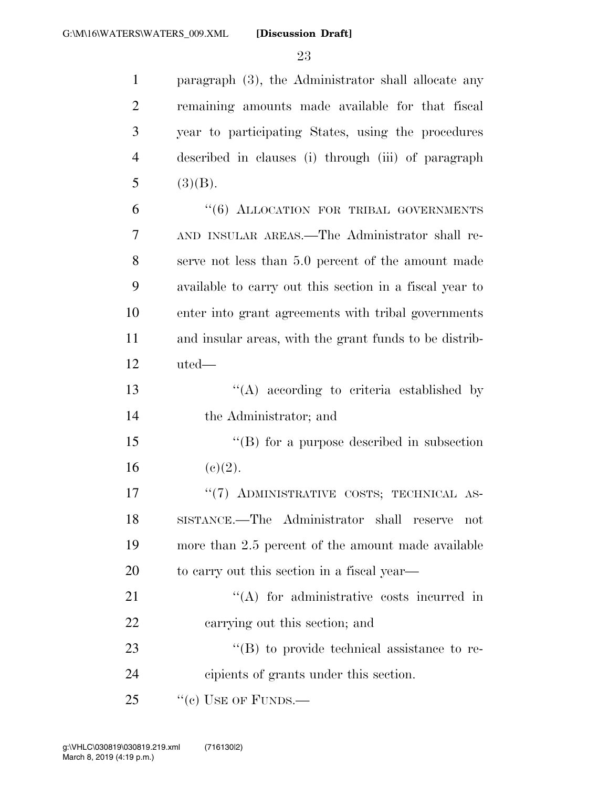| $\mathbf{1}$   | paragraph (3), the Administrator shall allocate any     |
|----------------|---------------------------------------------------------|
| $\overline{2}$ | remaining amounts made available for that fiscal        |
| 3              | year to participating States, using the procedures      |
| $\overline{4}$ | described in clauses (i) through (iii) of paragraph     |
| 5              | (3)(B).                                                 |
| 6              | "(6) ALLOCATION FOR TRIBAL GOVERNMENTS                  |
| $\overline{7}$ | AND INSULAR AREAS.—The Administrator shall re-          |
| 8              | serve not less than 5.0 percent of the amount made      |
| 9              | available to carry out this section in a fiscal year to |
| 10             | enter into grant agreements with tribal governments     |
| 11             | and insular areas, with the grant funds to be distrib-  |
| 12             | uted-                                                   |
| 13             | $\lq\lq$ according to criteria established by           |
| 14             | the Administrator; and                                  |
| 15             | $\lq\lq$ for a purpose described in subsection          |
| 16             | (c)(2).                                                 |
| 17             | "(7) ADMINISTRATIVE COSTS; TECHNICAL AS-                |
| 18             | SISTANCE.—The Administrator shall reserve not           |
| 19             | more than 2.5 percent of the amount made available      |
| 20             | to carry out this section in a fiscal year—             |
| 21             | $\lq\lq$ for administrative costs incurred in           |
| 22             | carrying out this section; and                          |
| 23             | $\lq\lq (B)$ to provide technical assistance to re-     |
| 24             | cipients of grants under this section.                  |
| 25             | $``$ (c) USE OF FUNDS.—                                 |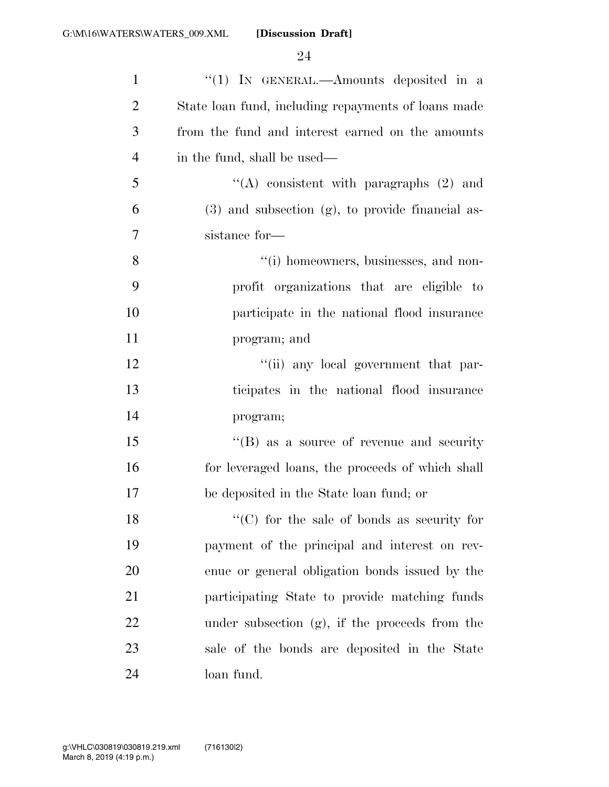| $\mathbf{1}$   | "(1) IN GENERAL.—Amounts deposited in a               |
|----------------|-------------------------------------------------------|
| $\overline{2}$ | State loan fund, including repayments of loans made   |
| 3              | from the fund and interest earned on the amounts      |
| $\overline{4}$ | in the fund, shall be used—                           |
| 5              | "(A) consistent with paragraphs $(2)$ and             |
| 6              | $(3)$ and subsection $(g)$ , to provide financial as- |
| 7              | sistance for-                                         |
| $8\,$          | "(i) homeowners, businesses, and non-                 |
| 9              | profit organizations that are eligible to             |
| 10             | participate in the national flood insurance           |
| 11             | program; and                                          |
| 12             | "(ii) any local government that par-                  |
| 13             | ticipates in the national flood insurance             |
| 14             | program;                                              |
| 15             | $\lq\lq (B)$ as a source of revenue and security      |
| 16             | for leveraged loans, the proceeds of which shall      |
| 17             | be deposited in the State loan fund; or               |
| 18             | $\lq\lq$ (C) for the sale of bonds as security for    |
| 19             | payment of the principal and interest on rev-         |
| 20             | enue or general obligation bonds issued by the        |
| 21             | participating State to provide matching funds         |
| 22             | under subsection $(g)$ , if the proceeds from the     |
| 23             | sale of the bonds are deposited in the State          |
| 24             | loan fund.                                            |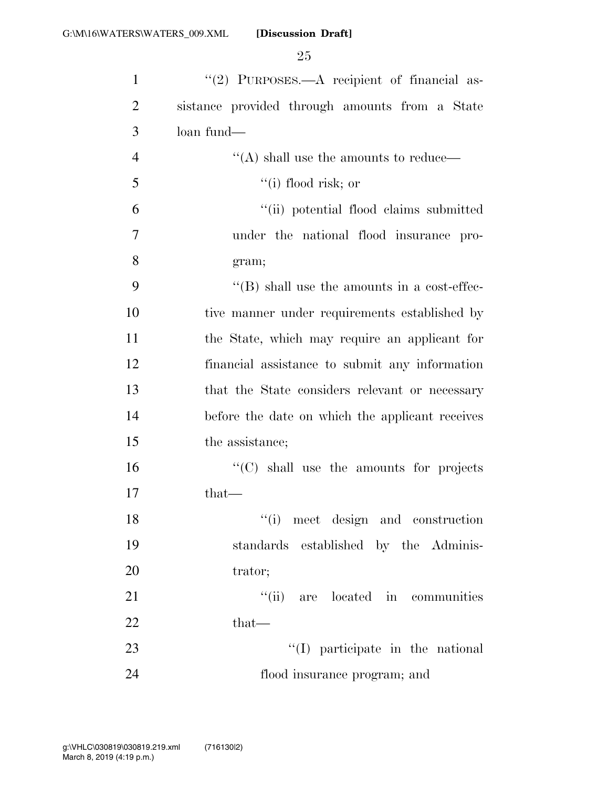| 1              | "(2) PURPOSES.— $A$ recipient of financial as-         |
|----------------|--------------------------------------------------------|
| $\overline{2}$ | sistance provided through amounts from a State         |
| 3              | loan fund—                                             |
| $\overline{4}$ | $\lq\lq (\mathrm{A})$ shall use the amounts to reduce— |
| 5              | $``(i)$ flood risk; or                                 |
| 6              | "(ii) potential flood claims submitted                 |
| 7              | under the national flood insurance pro-                |
| 8              | gram;                                                  |
| 9              | $\lq\lq$ Shall use the amounts in a cost-effec-        |
| 10             | tive manner under requirements established by          |
| 11             | the State, which may require an applicant for          |
| 12             | financial assistance to submit any information         |
| 13             | that the State considers relevant or necessary         |
| 14             | before the date on which the applicant receives        |
| 15             | the assistance;                                        |
| 16             | $\cdot$ (C) shall use the amounts for projects         |
| 17             | $that-$                                                |
| 18             | "(i) meet design and construction                      |
| 19             | standards established by the Adminis-                  |
| 20             | trator;                                                |
| 21             | "(ii) are located in communities                       |
| 22             | $that-$                                                |
| 23             | $\lq\lq$ participate in the national                   |
| 24             | flood insurance program; and                           |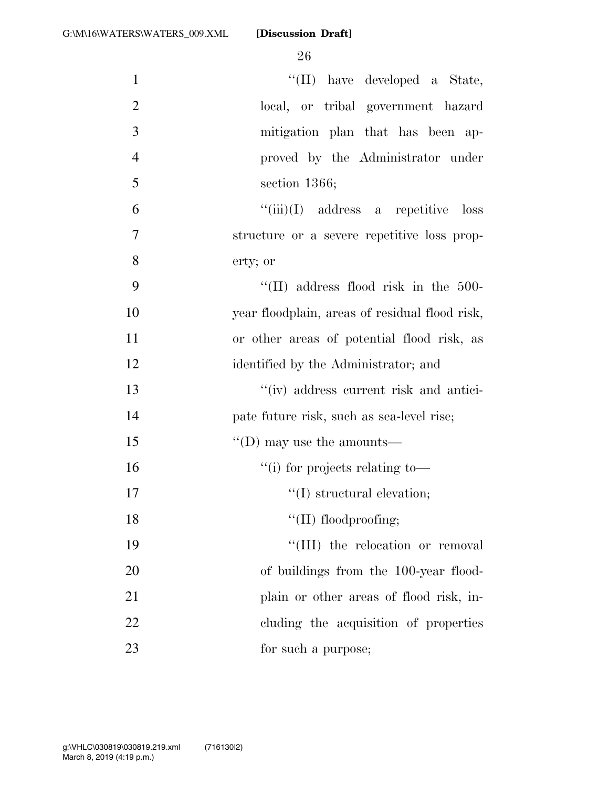| $\mathbf{1}$   | "(II) have developed a State,                  |
|----------------|------------------------------------------------|
| $\overline{2}$ | local, or tribal government hazard             |
| 3              | mitigation plan that has been ap-              |
| $\overline{4}$ | proved by the Administrator under              |
| 5              | section $1366$ ;                               |
| 6              | $``(iii)(I)$ address a repetitive loss         |
| $\overline{7}$ | structure or a severe repetitive loss prop-    |
| 8              | erty; or                                       |
| 9              | $\lq\lq$ (II) address flood risk in the 500-   |
| 10             | year floodplain, areas of residual flood risk, |
| 11             | or other areas of potential flood risk, as     |
| 12             | identified by the Administrator; and           |
| 13             | "(iv) address current risk and antici-         |
| 14             | pate future risk, such as sea-level rise;      |
| 15             | $\lq\lq$ (D) may use the amounts—              |
| 16             | $``(i)$ for projects relating to-              |
| 17             | $\lq\lq$ structural elevation;                 |
| 18             | "(II) floodproofing;                           |
| 19             | "(III) the relocation or removal               |
| 20             | of buildings from the 100-year flood-          |
| 21             | plain or other areas of flood risk, in-        |
| 22             | cluding the acquisition of properties          |
| 23             | for such a purpose;                            |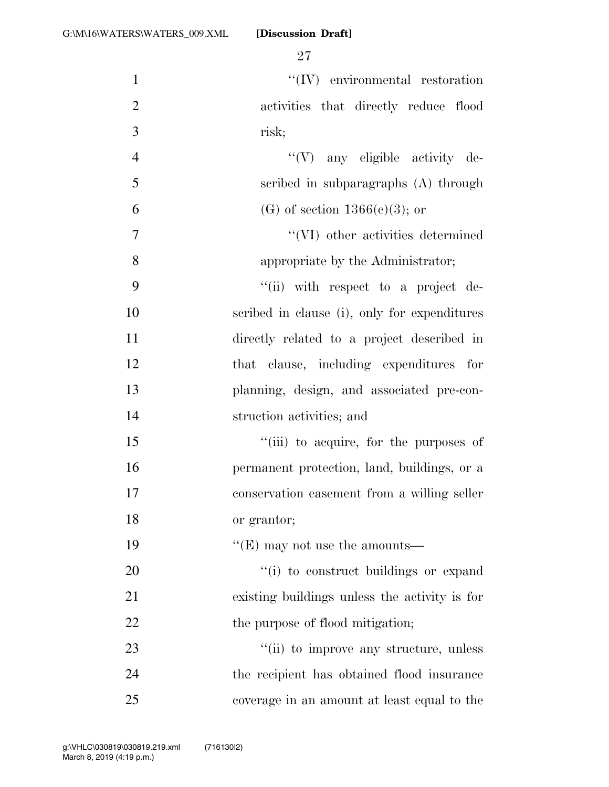| $\mathbf{1}$   | $\lq\lq (IV)$ environmental restoration       |
|----------------|-----------------------------------------------|
| $\overline{2}$ | activities that directly reduce flood         |
| 3              | risk;                                         |
| $\overline{4}$ | "(V) any eligible activity de-                |
| 5              | scribed in subparagraphs (A) through          |
| 6              | (G) of section $1366(c)(3)$ ; or              |
| 7              | "(VI) other activities determined             |
| 8              | appropriate by the Administrator;             |
| 9              | "(ii) with respect to a project de-           |
| 10             | scribed in clause (i), only for expenditures  |
| 11             | directly related to a project described in    |
| 12             | that clause, including expenditures for       |
| 13             | planning, design, and associated pre-con-     |
| 14             | struction activities; and                     |
| 15             | "(iii) to acquire, for the purposes of        |
| 16             | permanent protection, land, buildings, or a   |
| 17             | conservation easement from a willing seller   |
| 18             | or grantor;                                   |
| 19             | "(E) may not use the amounts—                 |
| 20             | "(i) to construct buildings or expand         |
| 21             | existing buildings unless the activity is for |
| 22             | the purpose of flood mitigation;              |
| 23             | "(ii) to improve any structure, unless        |
| 24             | the recipient has obtained flood insurance    |
| 25             | coverage in an amount at least equal to the   |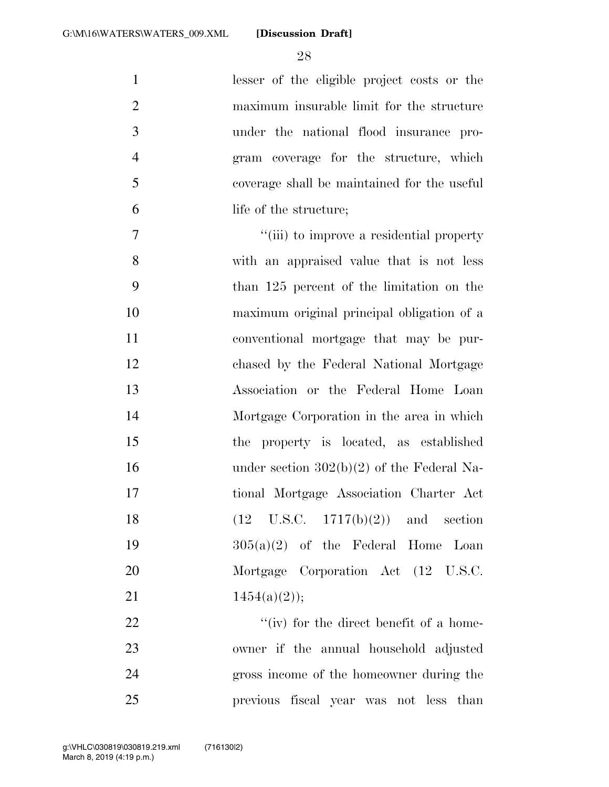lesser of the eligible project costs or the maximum insurable limit for the structure under the national flood insurance pro- gram coverage for the structure, which coverage shall be maintained for the useful life of the structure; ''(iii) to improve a residential property with an appraised value that is not less than 125 percent of the limitation on the maximum original principal obligation of a conventional mortgage that may be pur- chased by the Federal National Mortgage Association or the Federal Home Loan Mortgage Corporation in the area in which the property is located, as established 16 under section  $302(b)(2)$  of the Federal Na- tional Mortgage Association Charter Act 18 (12 U.S.C. 1717(b)(2)) and section 305(a)(2) of the Federal Home Loan Mortgage Corporation Act (12 U.S.C.  $1454(a)(2)$ ; 22 ''(iv) for the direct benefit of a home-owner if the annual household adjusted

 gross income of the homeowner during the previous fiscal year was not less than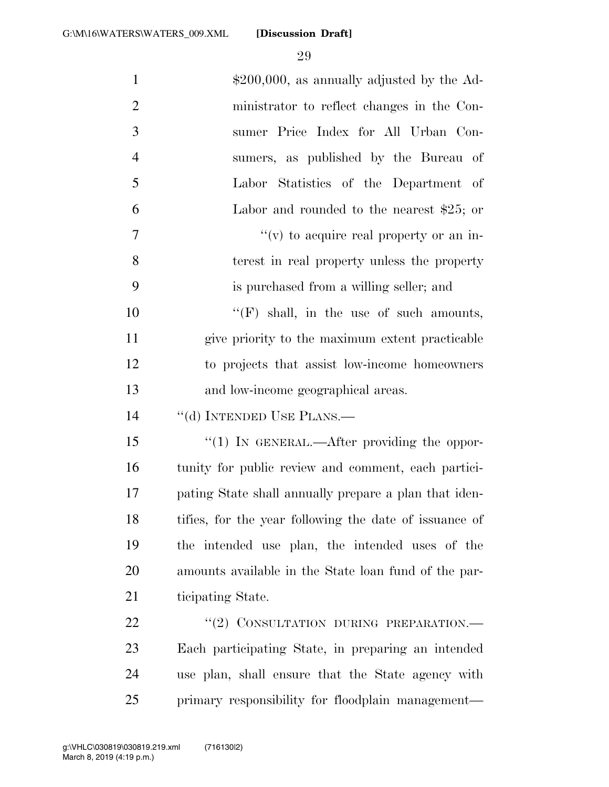| $\mathbf{1}$   | $$200,000$ , as annually adjusted by the Ad-           |
|----------------|--------------------------------------------------------|
| $\overline{2}$ | ministrator to reflect changes in the Con-             |
| 3              | sumer Price Index for All Urban Con-                   |
| $\overline{4}$ | sumers, as published by the Bureau of                  |
| 5              | Labor Statistics of the Department of                  |
| 6              | Labor and rounded to the nearest $$25$ ; or            |
| 7              | $f'(v)$ to acquire real property or an in-             |
| 8              | terest in real property unless the property            |
| 9              | is purchased from a willing seller; and                |
| 10             | "(F) shall, in the use of such amounts,                |
| 11             | give priority to the maximum extent practicable        |
| 12             | to projects that assist low-income homeowners          |
| 13             | and low-income geographical areas.                     |
| 14             | "(d) INTENDED USE PLANS.—                              |
| 15             | " $(1)$ IN GENERAL.—After providing the oppor-         |
| 16             | tunity for public review and comment, each partici-    |
| 17             | pating State shall annually prepare a plan that iden-  |
| 18             | tifies, for the year following the date of issuance of |
| 19             | the intended use plan, the intended uses of the        |
| 20             | amounts available in the State loan fund of the par-   |
| 21             | ticipating State.                                      |
| 22             | "(2) CONSULTATION DURING PREPARATION.-                 |
| 23             | Each participating State, in preparing an intended     |
| 24             | use plan, shall ensure that the State agency with      |
| 25             | primary responsibility for floodplain management—      |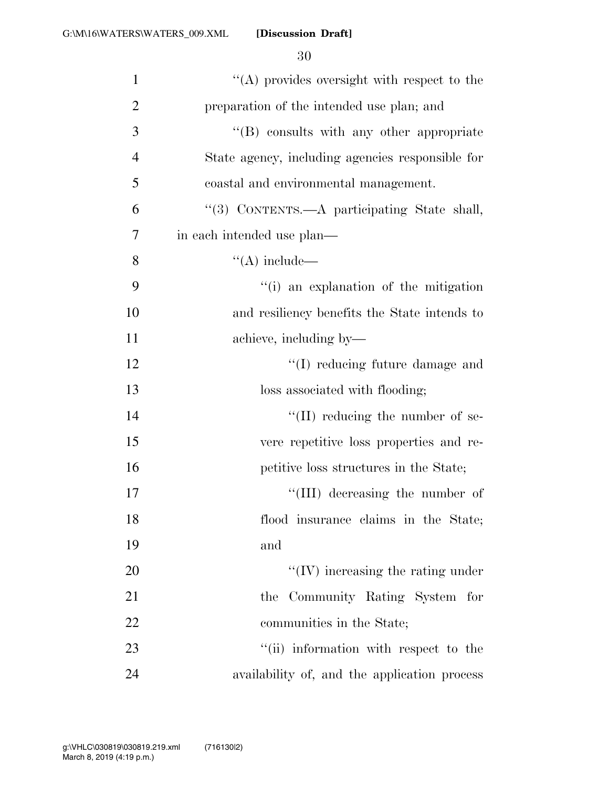| $\mathbf{1}$   | "(A) provides oversight with respect to the      |
|----------------|--------------------------------------------------|
| $\overline{2}$ | preparation of the intended use plan; and        |
| 3              | "(B) consults with any other appropriate         |
| $\overline{4}$ | State agency, including agencies responsible for |
| 5              | coastal and environmental management.            |
| 6              | "(3) CONTENTS.—A participating State shall,      |
| 7              | in each intended use plan—                       |
| 8              | $\lq\lq$ include —                               |
| 9              | "(i) an explanation of the mitigation            |
| 10             | and resiliency benefits the State intends to     |
| 11             | achieve, including by—                           |
| 12             | "(I) reducing future damage and                  |
| 13             | loss associated with flooding;                   |
| 14             | "(II) reducing the number of se-                 |
| 15             | vere repetitive loss properties and re-          |
| 16             | petitive loss structures in the State;           |
| 17             | "(III) decreasing the number of                  |
| 18             | flood insurance claims in the State;             |
| 19             | and                                              |
| 20             | $\lq\lq$ (IV) increasing the rating under        |
| 21             | the Community Rating System for                  |
| 22             | communities in the State;                        |
| 23             | "(ii) information with respect to the            |
| 24             | availability of, and the application process     |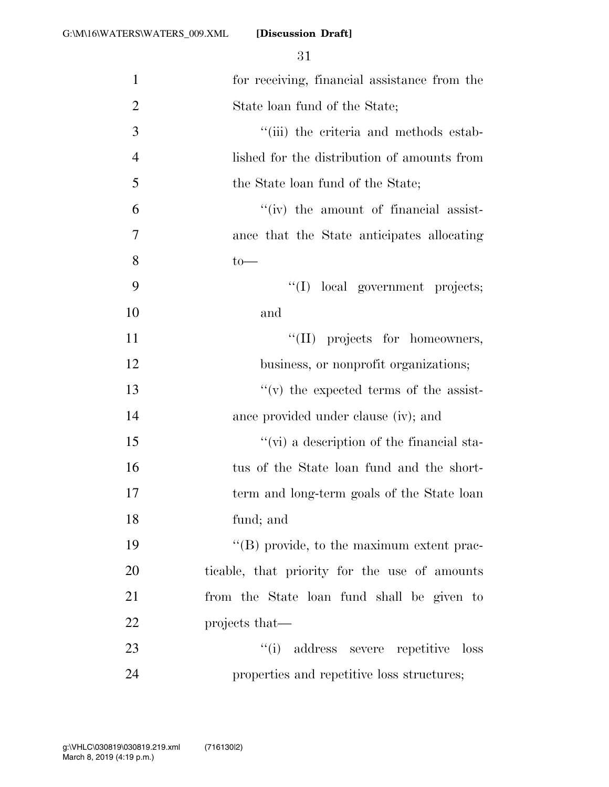| $\mathbf{1}$   | for receiving, financial assistance from the      |
|----------------|---------------------------------------------------|
| $\overline{2}$ | State loan fund of the State;                     |
| 3              | "(iii) the criteria and methods estab-            |
| $\overline{4}$ | lished for the distribution of amounts from       |
| 5              | the State loan fund of the State;                 |
| 6              | "(iv) the amount of financial assist-             |
| 7              | ance that the State anticipates allocating        |
| 8              | $to-$                                             |
| 9              | "(I) local government projects;                   |
| 10             | and                                               |
| 11             | "(II) projects for homeowners,                    |
| 12             | business, or nonprofit organizations;             |
| 13             | $f'(v)$ the expected terms of the assist-         |
| 14             | ance provided under clause (iv); and              |
| 15             | $\lq\lq$ (vi) a description of the financial sta- |
| 16             | tus of the State loan fund and the short-         |
| 17             | term and long-term goals of the State loan        |
| 18             | fund; and                                         |
| 19             | "(B) provide, to the maximum extent prac-         |
| 20             | ticable, that priority for the use of amounts     |
| 21             | from the State loan fund shall be given to        |
| 22             | projects that—                                    |
| 23             | "(i) address severe repetitive loss               |
| 24             | properties and repetitive loss structures;        |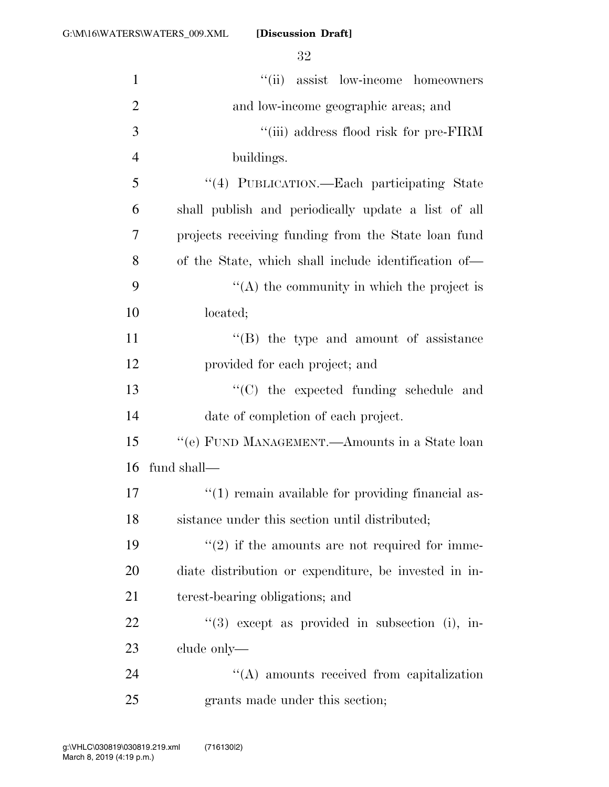| $\mathbf{1}$   | "(ii) assist low-income homeowners                    |
|----------------|-------------------------------------------------------|
| $\overline{2}$ | and low-income geographic areas; and                  |
| 3              | "(iii) address flood risk for pre-FIRM                |
| $\overline{4}$ | buildings.                                            |
| 5              | "(4) PUBLICATION.—Each participating State            |
| 6              | shall publish and periodically update a list of all   |
| 7              | projects receiving funding from the State loan fund   |
| 8              | of the State, which shall include identification of—  |
| 9              | $\lq\lq$ the community in which the project is        |
| 10             | located;                                              |
| 11             | $\lq\lq$ (B) the type and amount of assistance        |
| 12             | provided for each project; and                        |
| 13             | "(C) the expected funding schedule and                |
| 14             | date of completion of each project.                   |
| 15             | "(e) FUND MANAGEMENT.—Amounts in a State loan         |
| 16             | fund shall—                                           |
| 17             | $\lq(1)$ remain available for providing financial as- |
| 18             | sistance under this section until distributed;        |
| 19             | $f'(2)$ if the amounts are not required for imme-     |
| 20             | diate distribution or expenditure, be invested in in- |
| 21             | terest-bearing obligations; and                       |
| 22             | $(3)$ except as provided in subsection (i), in-       |
| 23             | clude only—                                           |
| 24             | $\lq\lq$ amounts received from capitalization         |
| 25             | grants made under this section;                       |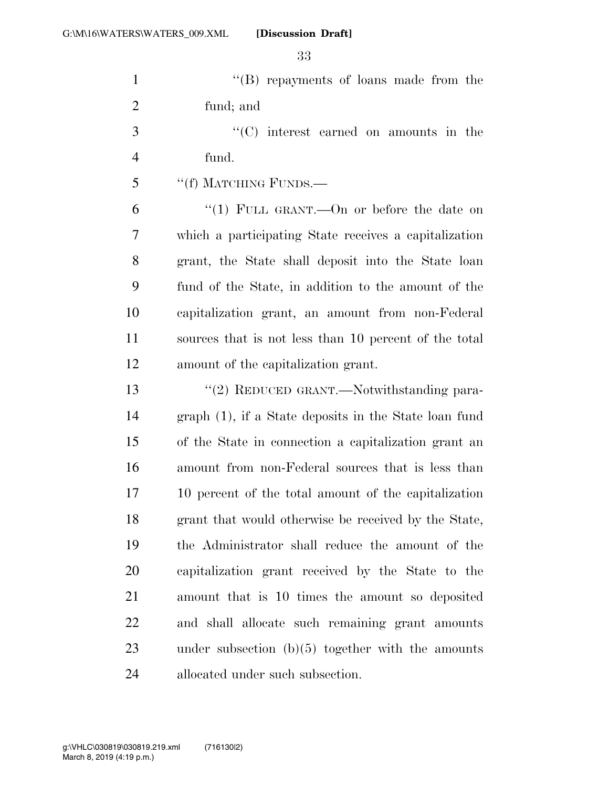| $\mathbf{1}$   | "(B) repayments of loans made from the                |
|----------------|-------------------------------------------------------|
| $\overline{2}$ | fund; and                                             |
| 3              | $\cdot$ (C) interest earned on amounts in the         |
| 4              | fund.                                                 |
| 5              | "(f) MATCHING FUNDS.—                                 |
| 6              | "(1) FULL GRANT.—On or before the date on             |
| 7              | which a participating State receives a capitalization |
| 8              | grant, the State shall deposit into the State loan    |
| 9              | fund of the State, in addition to the amount of the   |
| 10             | capitalization grant, an amount from non-Federal      |
| 11             | sources that is not less than 10 percent of the total |
| 12             | amount of the capitalization grant.                   |
| 13             | "(2) REDUCED GRANT.—Notwithstanding para-             |
| 14             | graph (1), if a State deposits in the State loan fund |
| 15             | of the State in connection a capitalization grant an  |
| 16             | amount from non-Federal sources that is less than     |
| 17             | 10 percent of the total amount of the capitalization  |
| 18             | grant that would otherwise be received by the State,  |
| 19             | the Administrator shall reduce the amount of the      |
| 20             | capitalization grant received by the State to the     |
| 21             | amount that is 10 times the amount so deposited       |
| 22             | and shall allocate such remaining grant amounts       |
| 23             | under subsection $(b)(5)$ together with the amounts   |
| 24             | allocated under such subsection.                      |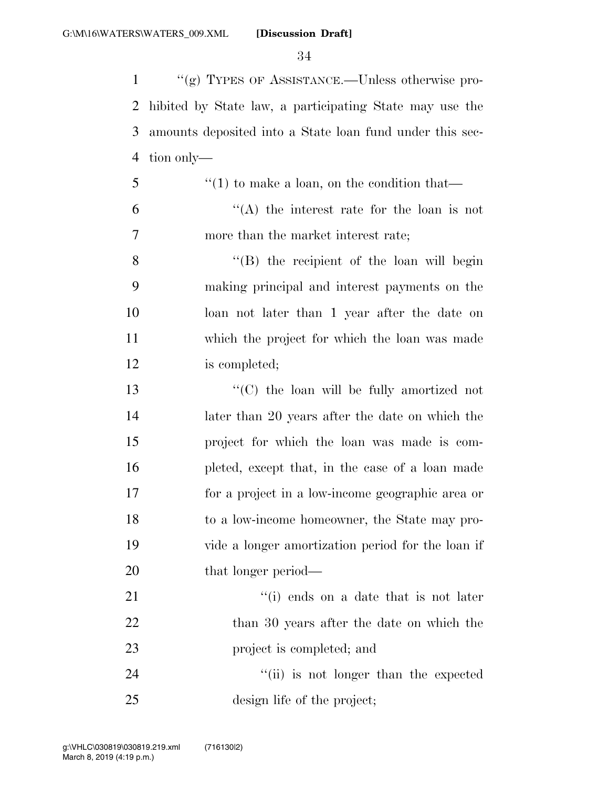''(g) TYPES OF ASSISTANCE.—Unless otherwise pro- hibited by State law, a participating State may use the amounts deposited into a State loan fund under this sec-tion only—

 $\mathfrak{S}$  ''(1) to make a loan, on the condition that  $(4)$  the interest rate for the loan is not more than the market interest rate;

8 ''(B) the recipient of the loan will begin making principal and interest payments on the loan not later than 1 year after the date on which the project for which the loan was made is completed;

 ''(C) the loan will be fully amortized not later than 20 years after the date on which the project for which the loan was made is com- pleted, except that, in the case of a loan made for a project in a low-income geographic area or to a low-income homeowner, the State may pro- vide a longer amortization period for the loan if 20 that longer period—

21 ''(i) ends on a date that is not later 22 than 30 years after the date on which the project is completed; and

24 ''(ii) is not longer than the expected design life of the project;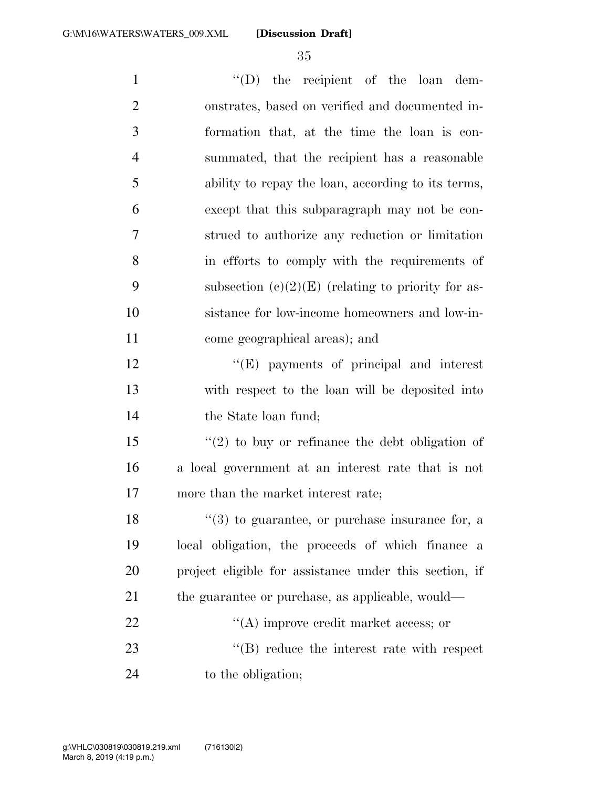| $\mathbf{1}$   | $\lq\lq$ (D) the recipient of the loan dem-                     |
|----------------|-----------------------------------------------------------------|
| $\overline{2}$ | onstrates, based on verified and documented in-                 |
| 3              | formation that, at the time the loan is con-                    |
| $\overline{4}$ | summated, that the recipient has a reasonable                   |
| 5              | ability to repay the loan, according to its terms,              |
| 6              | except that this subparagraph may not be con-                   |
| 7              | strued to authorize any reduction or limitation                 |
| 8              | in efforts to comply with the requirements of                   |
| 9              | subsection $(c)(2)(E)$ (relating to priority for as-            |
| 10             | sistance for low-income homeowners and low-in-                  |
| 11             | come geographical areas); and                                   |
| 12             | $\lq\lq(E)$ payments of principal and interest                  |
| 13             | with respect to the loan will be deposited into                 |
| 14             | the State loan fund;                                            |
| 15             | $f'(2)$ to buy or refinance the debt obligation of              |
| 16             | a local government at an interest rate that is not              |
| 17             | more than the market interest rate;                             |
| 18             | $\lq(3)$ to guarantee, or purchase insurance for, a             |
| 19             | local obligation, the proceeds of which finance<br>$\mathbf{a}$ |
| 20             | project eligible for assistance under this section, if          |
| 21             | the guarantee or purchase, as applicable, would—                |
| 22             | $\lq\lq$ improve credit market access; or                       |
| 23             | $\lq\lq$ reduce the interest rate with respect                  |
| 24             | to the obligation;                                              |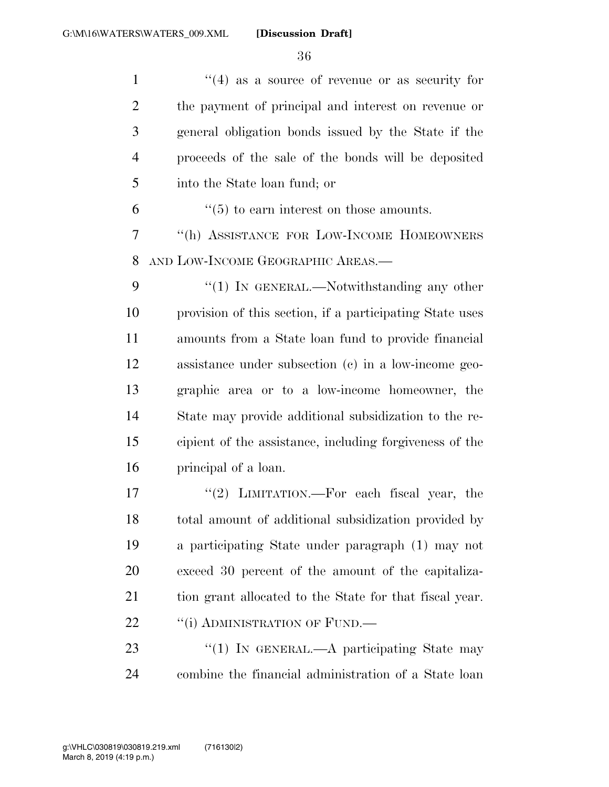$\frac{1}{2}$  1  $\frac{1}{4}$  as a source of revenue or as security for the payment of principal and interest on revenue or general obligation bonds issued by the State if the proceeds of the sale of the bonds will be deposited into the State loan fund; or

 $\frac{6}{5}$  (5) to earn interest on those amounts.

 ''(h) ASSISTANCE FOR LOW-INCOME HOMEOWNERS AND LOW-INCOME GEOGRAPHIC AREAS.—

9 "(1) In GENERAL.—Notwithstanding any other provision of this section, if a participating State uses amounts from a State loan fund to provide financial assistance under subsection (c) in a low-income geo- graphic area or to a low-income homeowner, the State may provide additional subsidization to the re- cipient of the assistance, including forgiveness of the principal of a loan.

17 ''(2) LIMITATION.—For each fiscal year, the total amount of additional subsidization provided by a participating State under paragraph (1) may not exceed 30 percent of the amount of the capitaliza-21 tion grant allocated to the State for that fiscal year. 22 "(i) ADMINISTRATION OF FUND.—

23 "(1) IN GENERAL.—A participating State may combine the financial administration of a State loan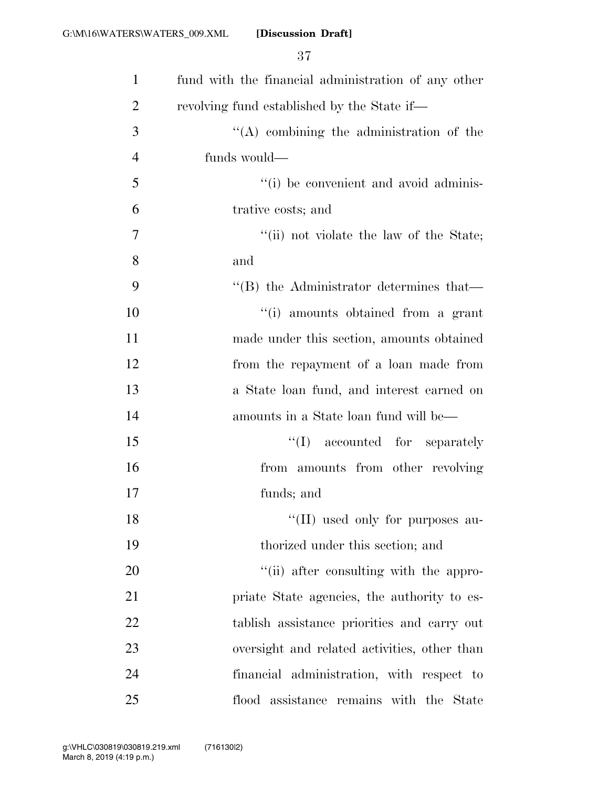| $\mathbf{1}$   | fund with the financial administration of any other |
|----------------|-----------------------------------------------------|
| $\overline{2}$ | revolving fund established by the State if—         |
| 3              | $\lq\lq$ combining the administration of the        |
| $\overline{4}$ | funds would—                                        |
| 5              | "(i) be convenient and avoid adminis-               |
| 6              | trative costs; and                                  |
| $\overline{7}$ | "(ii) not violate the law of the State;             |
| 8              | and                                                 |
| 9              | $\cdot$ (B) the Administrator determines that—      |
| 10             | "(i) amounts obtained from a grant                  |
| 11             | made under this section, amounts obtained           |
| 12             | from the repayment of a loan made from              |
| 13             | a State loan fund, and interest earned on           |
| 14             | amounts in a State loan fund will be—               |
| 15             | ``(I)<br>accounted for separately                   |
| 16             | from amounts from other revolving                   |
| 17             | funds; and                                          |
| 18             | "(II) used only for purposes au-                    |
| 19             | thorized under this section; and                    |
| 20             | "(ii) after consulting with the appro-              |
| 21             | priate State agencies, the authority to es-         |
| 22             | tablish assistance priorities and carry out         |
| 23             | oversight and related activities, other than        |
| 24             | financial administration, with respect to           |
| 25             | flood assistance remains with the State             |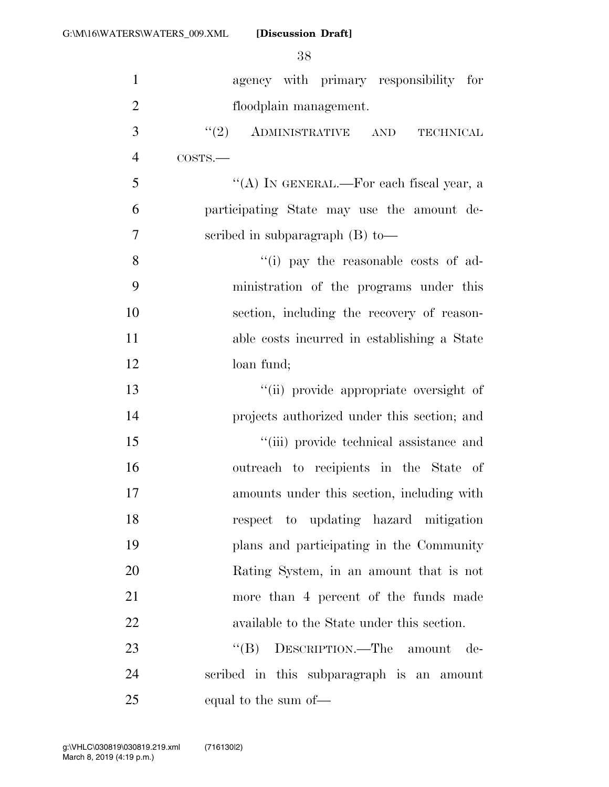| $\mathbf{1}$   | agency with primary responsibility for         |
|----------------|------------------------------------------------|
| $\overline{2}$ | floodplain management.                         |
| 3              | $\cdot\cdot(2)$ ADMINISTRATIVE AND TECHNICAL   |
| $\overline{4}$ | COSTS.                                         |
| 5              | "(A) IN GENERAL.—For each fiscal year, a       |
| 6              | participating State may use the amount de-     |
| 7              | scribed in subparagraph $(B)$ to —             |
| 8              | "(i) pay the reasonable costs of ad-           |
| 9              | ministration of the programs under this        |
| 10             | section, including the recovery of reason-     |
| 11             | able costs incurred in establishing a State    |
| 12             | loan fund;                                     |
| 13             | "(ii) provide appropriate oversight of         |
| 14             | projects authorized under this section; and    |
| 15             | "(iii) provide technical assistance and        |
| 16             | outreach to recipients in the State of         |
| 17             | amounts under this section, including with     |
| 18             | respect to updating hazard mitigation          |
| 19             | plans and participating in the Community       |
| 20             | Rating System, in an amount that is not        |
| 21             | more than 4 percent of the funds made          |
| 22             | available to the State under this section.     |
| 23             | $\lq\lq (B)$<br>DESCRIPTION.—The amount<br>de- |
| 24             | scribed in this subparagraph is an amount      |
| 25             | equal to the sum of—                           |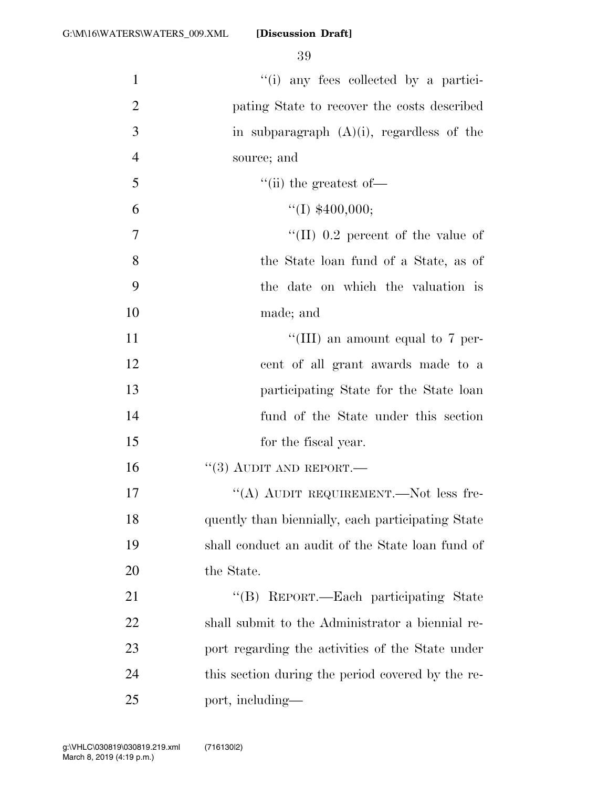| $\mathbf{1}$   | "(i) any fees collected by a partici-             |
|----------------|---------------------------------------------------|
| $\overline{2}$ | pating State to recover the costs described       |
| 3              | in subparagraph $(A)(i)$ , regardless of the      |
| $\overline{4}$ | source; and                                       |
| 5              | $\lq\lq$ (ii) the greatest of —                   |
| 6              | ``(I) \$400,000;                                  |
| 7              | "(II) $0.2$ percent of the value of               |
| 8              | the State loan fund of a State, as of             |
| 9              | the date on which the valuation is                |
| 10             | made; and                                         |
| 11             | "(III) an amount equal to $7$ per-                |
| 12             | cent of all grant awards made to a                |
| 13             | participating State for the State loan            |
| 14             | fund of the State under this section              |
| 15             | for the fiscal year.                              |
| 16             | $``(3)$ AUDIT AND REPORT.—                        |
| 17             | "(A) AUDIT REQUIREMENT.—Not less fre-             |
| 18             | quently than biennially, each participating State |
| 19             | shall conduct an audit of the State loan fund of  |
| 20             | the State.                                        |
| 21             | "(B) REPORT.—Each participating State             |
| 22             | shall submit to the Administrator a biennial re-  |
| 23             | port regarding the activities of the State under  |
| 24             | this section during the period covered by the re- |
| 25             | port, including—                                  |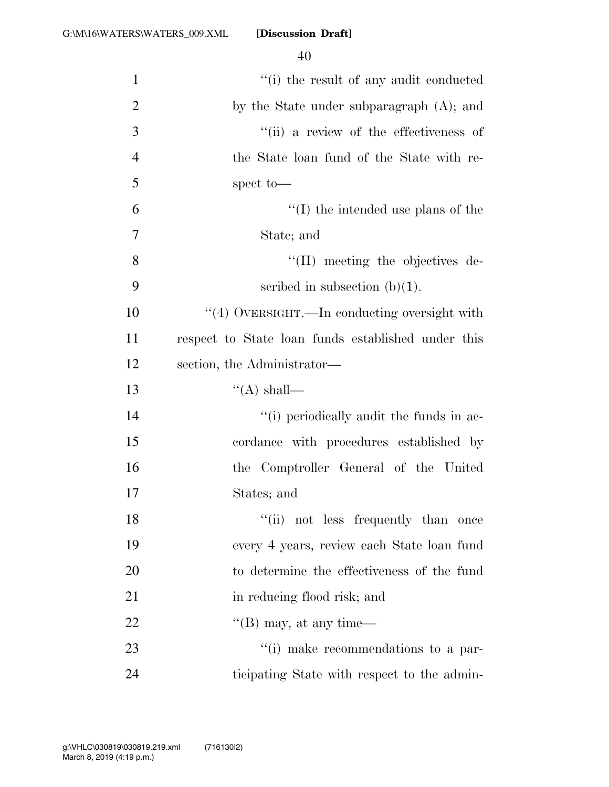| $\mathbf{1}$   | "(i) the result of any audit conducted             |
|----------------|----------------------------------------------------|
| $\overline{2}$ | by the State under subparagraph (A); and           |
| 3              | "(ii) a review of the effectiveness of             |
| $\overline{4}$ | the State loan fund of the State with re-          |
| 5              | spect to-                                          |
| 6              | $\lq\lq$ (I) the intended use plans of the         |
| 7              | State; and                                         |
| 8              | $\lq\lq$ (II) meeting the objectives de-           |
| 9              | scribed in subsection $(b)(1)$ .                   |
| 10             | "(4) OVERSIGHT.—In conducting oversight with       |
| 11             | respect to State loan funds established under this |
| 12             | section, the Administrator—                        |
| 13             | $\lq\lq$ shall—                                    |
| 14             | "(i) periodically audit the funds in ac-           |
| 15             | cordance with procedures established by            |
| 16             | the Comptroller General of the United              |
| 17             | States; and                                        |
| 18             | "(ii) not less frequently than once                |
| 19             | every 4 years, review each State loan fund         |
| 20             | to determine the effectiveness of the fund         |
| 21             | in reducing flood risk; and                        |
| 22             | $\lq\lq$ (B) may, at any time—                     |
| 23             | "(i) make recommendations to a par-                |
| 24             | ticipating State with respect to the admin-        |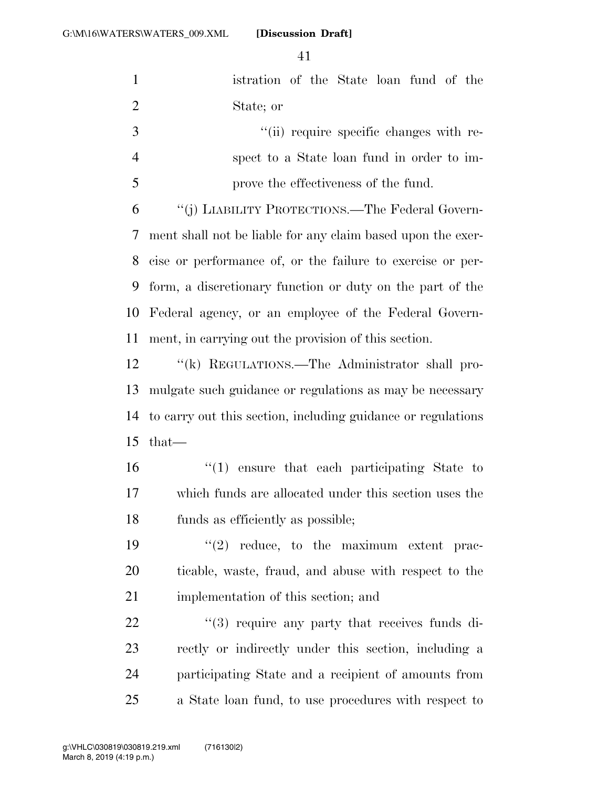| $\mathbf{1}$   | istration of the State loan fund of the                      |
|----------------|--------------------------------------------------------------|
| $\overline{2}$ | State; or                                                    |
| $\mathfrak{Z}$ | "(ii) require specific changes with re-                      |
| $\overline{4}$ | spect to a State loan fund in order to im-                   |
| 5              | prove the effectiveness of the fund.                         |
| 6              | "(j) LIABILITY PROTECTIONS.—The Federal Govern-              |
| 7              | ment shall not be liable for any claim based upon the exer-  |
| 8              | cise or performance of, or the failure to exercise or per-   |
| 9              | form, a discretionary function or duty on the part of the    |
| 10             | Federal agency, or an employee of the Federal Govern-        |
| 11             | ment, in carrying out the provision of this section.         |
| 12             | "(k) REGULATIONS.—The Administrator shall pro-               |
| 13             | mulgate such guidance or regulations as may be necessary     |
| 14             | to carry out this section, including guidance or regulations |
| 15             | $that-$                                                      |
| 16             | "(1) ensure that each participating State to                 |
| 17             | which funds are allocated under this section uses the        |
| 18             | funds as efficiently as possible;                            |
| 19             | $(2)$ reduce, to the maximum extent prac-                    |
| 20             | ticable, waste, fraud, and abuse with respect to the         |
| 21             | implementation of this section; and                          |
| 22             | "(3) require any party that receives funds di-               |
| 23             | rectly or indirectly under this section, including a         |
| 24             | participating State and a recipient of amounts from          |
| 25             | a State loan fund, to use procedures with respect to         |